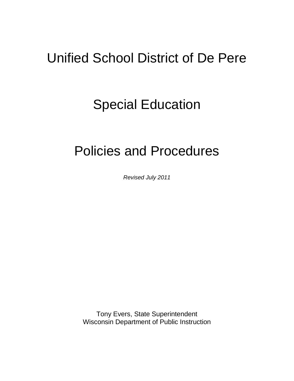# Unified School District of De Pere

# Special Education

## Policies and Procedures

*Revised July 2011*

Tony Evers, State Superintendent Wisconsin Department of Public Instruction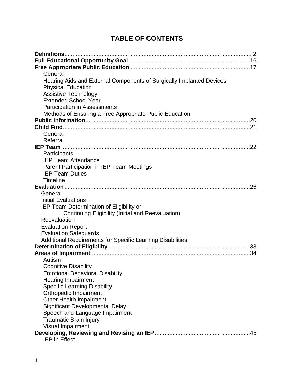## **TABLE OF CONTENTS**

| General                                                              |
|----------------------------------------------------------------------|
| Hearing Aids and External Components of Surgically Implanted Devices |
| <b>Physical Education</b>                                            |
| <b>Assistive Technology</b>                                          |
| <b>Extended School Year</b>                                          |
| <b>Participation in Assessments</b>                                  |
| Methods of Ensuring a Free Appropriate Public Education              |
|                                                                      |
|                                                                      |
| General                                                              |
| Referral                                                             |
|                                                                      |
| Participants                                                         |
| <b>IEP Team Attendance</b>                                           |
| Parent Participation in IEP Team Meetings                            |
| <b>IEP Team Duties</b>                                               |
| Timeline                                                             |
|                                                                      |
| General                                                              |
| <b>Initial Evaluations</b>                                           |
| IEP Team Determination of Eligibility or                             |
| <b>Continuing Eligibility (Initial and Reevaluation)</b>             |
| Reevaluation                                                         |
| <b>Evaluation Report</b>                                             |
| <b>Evaluation Safeguards</b>                                         |
| Additional Requirements for Specific Learning Disabilities           |
|                                                                      |
|                                                                      |
| Autism                                                               |
| <b>Cognitive Disability</b>                                          |
| <b>Emotional Behavioral Disability</b>                               |
| <b>Hearing Impairment</b>                                            |
| <b>Specific Learning Disability</b>                                  |
| <b>Orthopedic Impairment</b>                                         |
| <b>Other Health Impairment</b>                                       |
| <b>Significant Developmental Delay</b>                               |
| Speech and Language Impairment                                       |
| <b>Traumatic Brain Injury</b>                                        |
| <b>Visual Impairment</b>                                             |
| .45                                                                  |
| <b>IEP</b> in Effect                                                 |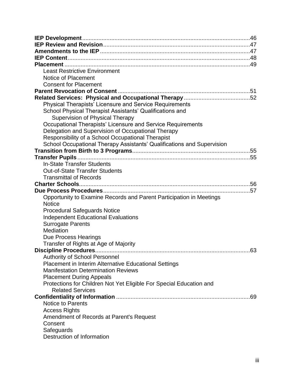| <b>Least Restrictive Environment</b>                                   |     |
|------------------------------------------------------------------------|-----|
| Notice of Placement                                                    |     |
| <b>Consent for Placement</b>                                           |     |
|                                                                        |     |
|                                                                        |     |
| <b>Physical Therapists' Licensure and Service Requirements</b>         |     |
| School Physical Therapist Assistants' Qualifications and               |     |
| Supervision of Physical Therapy                                        |     |
| Occupational Therapists' Licensure and Service Requirements            |     |
| Delegation and Supervision of Occupational Therapy                     |     |
| Responsibility of a School Occupational Therapist                      |     |
| School Occupational Therapy Assistants' Qualifications and Supervision |     |
|                                                                        |     |
|                                                                        |     |
| <b>In-State Transfer Students</b>                                      |     |
| <b>Out-of-State Transfer Students</b>                                  |     |
| <b>Transmittal of Records</b>                                          |     |
|                                                                        |     |
|                                                                        |     |
| Opportunity to Examine Records and Parent Participation in Meetings    |     |
| <b>Notice</b>                                                          |     |
| <b>Procedural Safeguards Notice</b>                                    |     |
| <b>Independent Educational Evaluations</b>                             |     |
| <b>Surrogate Parents</b>                                               |     |
| Mediation                                                              |     |
| Due Process Hearings                                                   |     |
| Transfer of Rights at Age of Majority                                  |     |
|                                                                        | .63 |
| <b>Authority of School Personnel</b>                                   |     |
| Placement in Interim Alternative Educational Settings                  |     |
| <b>Manifestation Determination Reviews</b>                             |     |
| <b>Placement During Appeals</b>                                        |     |
| Protections for Children Not Yet Eligible For Special Education and    |     |
| <b>Related Services</b>                                                |     |
|                                                                        |     |
| <b>Notice to Parents</b>                                               |     |
| <b>Access Rights</b>                                                   |     |
| Amendment of Records at Parent's Request                               |     |
| Consent                                                                |     |
| Safeguards                                                             |     |
| Destruction of Information                                             |     |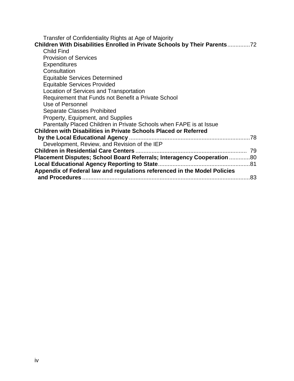Transfer of Confidentiality Rights at Age of Majority **Children With Disabilities Enrolled in Private Schools by Their Parents**..............72 Child Find Provision of Services **Expenditures Consultation** Equitable Services Determined Equitable Services Provided Location of Services and Transportation Requirement that Funds not Benefit a Private School Use of Personnel Separate Classes Prohibited Property, Equipment, and Supplies Parentally Placed Children in Private Schools when FAPE is at Issue **Children with Disabilities in Private Schools Placed or Referred by the Local Educational Agency** ...........................................................................78 Development, Review, and Revision of the IEP **Children in Residential Care Centers** ..................................................................... 79 **Placement Disputes; School Board Referrals; Interagency Cooperation** .............80 **Local Educational Agency Reporting to State**.........................................................81 **Appendix of Federal law and regulations referenced in the Model Policies and Procedures** ........................................................................................................83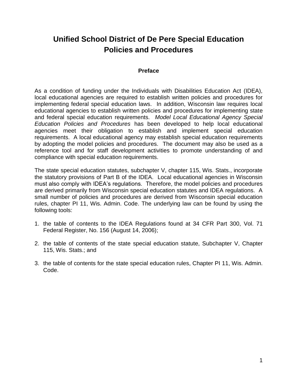## **Unified School District of De Pere Special Education Policies and Procedures**

#### **Preface**

As a condition of funding under the Individuals with Disabilities Education Act (IDEA), local educational agencies are required to establish written policies and procedures for implementing federal special education laws. In addition, Wisconsin law requires local educational agencies to establish written policies and procedures for implementing state and federal special education requirements. *Model Local Educational Agency Special Education Policies and Procedures* has been developed to help local educational agencies meet their obligation to establish and implement special education requirements. A local educational agency may establish special education requirements by adopting the model policies and procedures. The document may also be used as a reference tool and for staff development activities to promote understanding of and compliance with special education requirements.

The state special education statutes, subchapter V, chapter 115, Wis. Stats., incorporate the statutory provisions of Part B of the IDEA. Local educational agencies in Wisconsin must also comply with IDEA's regulations. Therefore, the model policies and procedures are derived primarily from Wisconsin special education statutes and IDEA regulations. A small number of policies and procedures are derived from Wisconsin special education rules, chapter PI 11, Wis. Admin. Code. The underlying law can be found by using the following tools:

- 1. the table of contents to the IDEA Regulations found at 34 CFR Part 300, Vol. 71 Federal Register, No. 156 (August 14, 2006);
- 2. the table of contents of the state special education statute, Subchapter V, Chapter 115, Wis. Stats.; and
- 3. the table of contents for the state special education rules, Chapter PI 11, Wis. Admin. Code.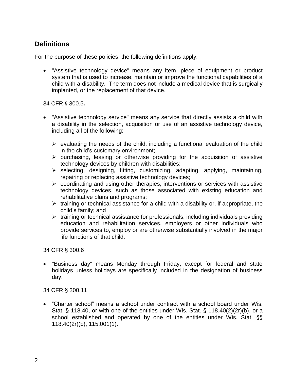## **Definitions**

For the purpose of these policies, the following definitions apply:

 "Assistive technology device" means any item, piece of equipment or product system that is used to increase, maintain or improve the functional capabilities of a child with a disability. The term does not include a medical device that is surgically implanted, or the replacement of that device.

34 CFR § 300.5**.**

- "Assistive technology service" means any service that directly assists a child with a disability in the selection, acquisition or use of an assistive technology device, including all of the following:
	- $\triangleright$  evaluating the needs of the child, including a functional evaluation of the child in the child's customary environment;
	- $\triangleright$  purchasing, leasing or otherwise providing for the acquisition of assistive technology devices by children with disabilities;
	- $\triangleright$  selecting, designing, fitting, customizing, adapting, applying, maintaining, repairing or replacing assistive technology devices;
	- $\triangleright$  coordinating and using other therapies, interventions or services with assistive technology devices, such as those associated with existing education and rehabilitative plans and programs;
	- $\triangleright$  training or technical assistance for a child with a disability or, if appropriate, the child's family; and
	- $\triangleright$  training or technical assistance for professionals, including individuals providing education and rehabilitation services, employers or other individuals who provide services to, employ or are otherwise substantially involved in the major life functions of that child.

34 CFR § 300.6

 "Business day" means Monday through Friday, except for federal and state holidays unless holidays are specifically included in the designation of business day.

34 CFR § 300.11

 "Charter school" means a school under contract with a school board under Wis. Stat. § 118.40, or with one of the entities under Wis. Stat. § 118.40(2)(2r)(b), or a school established and operated by one of the entities under Wis. Stat. §§ 118.40(2r)(b), 115.001(1).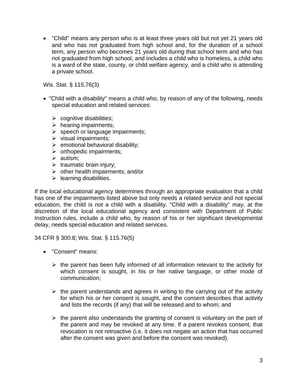"Child" means any person who is at least three years old but not yet 21 years old and who has not graduated from high school and, for the duration of a school term, any person who becomes 21 years old during that school term and who has not graduated from high school, and includes a child who is homeless, a child who is a ward of the state, county, or child welfare agency, and a child who is attending a private school.

Wis. Stat. § 115.76(3)

- "Child with a disability" means a child who, by reason of any of the following, needs special education and related services:
	- $\triangleright$  cognitive disabilities;
	- $\triangleright$  hearing impairments;
	- $\triangleright$  speech or language impairments;
	- $\triangleright$  visual impairments:
	- $\triangleright$  emotional behavioral disability;
	- $\triangleright$  orthopedic impairments;
	- $\triangleright$  autism;
	- $\triangleright$  traumatic brain injury;
	- $\triangleright$  other health impairments; and/or
	- $\blacktriangleright$  learning disabilities.

If the local educational agency determines through an appropriate evaluation that a child has one of the impairments listed above but only needs a related service and not special education, the child is not a child with a disability. "Child with a disability" may, at the discretion of the local educational agency and consistent with Department of Public Instruction rules, include a child who, by reason of his or her significant developmental delay, needs special education and related services.

34 CFR § 300.8; Wis. Stat. § 115.76(5)

- "Consent" means:
	- $\triangleright$  the parent has been fully informed of all information relevant to the activity for which consent is sought, in his or her native language, or other mode of communication;
	- $\triangleright$  the parent understands and agrees in writing to the carrying out of the activity for which his or her consent is sought, and the consent describes that activity and lists the records (if any) that will be released and to whom; and
	- $\triangleright$  the parent also understands the granting of consent is voluntary on the part of the parent and may be revoked at any time. If a parent revokes consent, that revocation is not retroactive (i.e. it does not negate an action that has occurred after the consent was given and before the consent was revoked).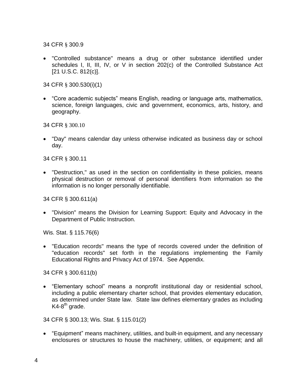34 CFR § 300.9

 "Controlled substance" means a drug or other substance identified under schedules I, II, III, IV, or V in section 202(c) of the Controlled Substance Act [21 U.S.C. 812(c)].

34 CFR § 300.530(i)(1)

 "Core academic subjects" means English, reading or language arts, mathematics, science, foreign languages, civic and government, economics, arts, history, and geography.

34 CFR § 300.10

 "Day" means calendar day unless otherwise indicated as business day or school day.

34 CFR § 300.11

 "Destruction," as used in the section on confidentiality in these policies, means physical destruction or removal of personal identifiers from information so the information is no longer personally identifiable.

34 CFR § 300.611(a)

 "Division" means the Division for Learning Support: Equity and Advocacy in the Department of Public Instruction.

Wis. Stat. § 115.76(6)

 "Education records" means the type of records covered under the definition of "education records" set forth in the regulations implementing the Family Educational Rights and Privacy Act of 1974. See Appendix.

34 CFR § 300.611(b)

 "Elementary school" means a nonprofit institutional day or residential school, including a public elementary charter school, that provides elementary education, as determined under State law. State law defines elementary grades as including K4-8<sup>th</sup> grade.

34 CFR § 300.13; Wis. Stat. § 115.01(2)

 "Equipment" means machinery, utilities, and built-in equipment, and any necessary enclosures or structures to house the machinery, utilities, or equipment; and all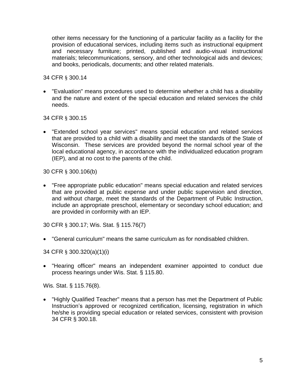other items necessary for the functioning of a particular facility as a facility for the provision of educational services, including items such as instructional equipment and necessary furniture; printed, published and audio-visual instructional materials; telecommunications, sensory, and other technological aids and devices; and books, periodicals, documents; and other related materials.

34 CFR § 300.14

 "Evaluation" means procedures used to determine whether a child has a disability and the nature and extent of the special education and related services the child needs.

34 CFR § 300.15

 "Extended school year services" means special education and related services that are provided to a child with a disability and meet the standards of the State of Wisconsin. These services are provided beyond the normal school year of the local educational agency, in accordance with the individualized education program (IEP), and at no cost to the parents of the child.

30 CFR § 300.106(b)

 "Free appropriate public education" means special education and related services that are provided at public expense and under public supervision and direction, and without charge, meet the standards of the Department of Public Instruction, include an appropriate preschool, elementary or secondary school education; and are provided in conformity with an IEP.

30 CFR § 300.17; Wis. Stat. § 115.76(7)

"General curriculum" means the same curriculum as for nondisabled children.

34 CFR § 300.320(a)(1)(i)

 "Hearing officer" means an independent examiner appointed to conduct due process hearings under Wis. Stat. § 115.80.

Wis. Stat. § 115.76(8).

 "Highly Qualified Teacher" means that a person has met the Department of Public Instruction's approved or recognized certification, licensing, registration in which he/she is providing special education or related services, consistent with provision 34 CFR § 300.18.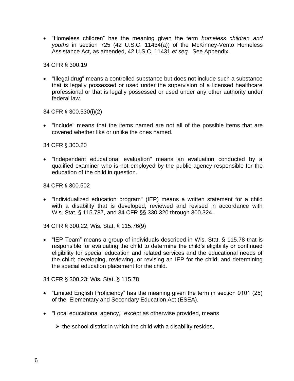"Homeless children" has the meaning given the term *homeless children and youths* in section 725 (42 U.S.C. 11434(a)) of the McKinney-Vento Homeless Assistance Act, as amended, 42 U.S.C. 11431 *et seq.* See Appendix.

34 CFR § 300.19

 "Illegal drug" means a controlled substance but does not include such a substance that is legally possessed or used under the supervision of a licensed healthcare professional or that is legally possessed or used under any other authority under federal law.

34 CFR § 300.530(i)(2)

 "Include" means that the items named are not all of the possible items that are covered whether like or unlike the ones named.

34 CFR § 300.20

 "Independent educational evaluation" means an evaluation conducted by a qualified examiner who is not employed by the public agency responsible for the education of the child in question.

34 CFR § 300.502

 "Individualized education program" (IEP) means a written statement for a child with a disability that is developed, reviewed and revised in accordance with Wis. Stat. § 115.787, and 34 CFR §§ 330.320 through 300.324.

34 CFR § 300.22; Wis. Stat. § 115.76(9)

• "IEP Team" means a group of individuals described in Wis. Stat. § 115.78 that is responsible for evaluating the child to determine the child's eligibility or continued eligibility for special education and related services and the educational needs of the child; developing, reviewing, or revising an IEP for the child; and determining the special education placement for the child.

34 CFR § 300.23; Wis. Stat. § 115.78

- "Limited English Proficiency" has the meaning given the term in section 9101 (25) of the Elementary and Secondary Education Act (ESEA).
- "Local educational agency," except as otherwise provided, means

 $\triangleright$  the school district in which the child with a disability resides,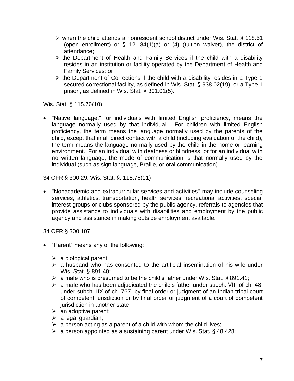- $\triangleright$  when the child attends a nonresident school district under Wis. Stat. § 118.51 (open enrollment) or  $\S$  121.84(1)(a) or (4) (tuition waiver), the district of attendance;
- $\triangleright$  the Department of Health and Family Services if the child with a disability resides in an institution or facility operated by the Department of Health and Family Services; or
- $\triangleright$  the Department of Corrections if the child with a disability resides in a Type 1 secured correctional facility, as defined in Wis. Stat. § 938.02(19), or a Type 1 prison, as defined in Wis. Stat. § 301.01(5).

Wis. Stat. § 115.76(10)

 "Native language," for individuals with limited English proficiency, means the language normally used by that individual. For children with limited English proficiency, the term means the language normally used by the parents of the child, except that in all direct contact with a child (including evaluation of the child), the term means the language normally used by the child in the home or learning environment. For an individual with deafness or blindness, or for an individual with no written language, the mode of communication is that normally used by the individual (such as sign language, Braille, or oral communication).

34 CFR § 300.29; Wis. Stat. §. 115.76(11)

 "Nonacademic and extracurricular services and activities" may include counseling services, athletics, transportation, health services, recreational activities, special interest groups or clubs sponsored by the public agency, referrals to agencies that provide assistance to individuals with disabilities and employment by the public agency and assistance in making outside employment available.

34 CFR § 300.107

- "Parent" means any of the following:
	- $\triangleright$  a biological parent;
	- $\triangleright$  a husband who has consented to the artificial insemination of his wife under Wis. Stat. § 891.40;
	- $\geq$  a male who is presumed to be the child's father under Wis. Stat. § 891.41;
	- $\triangleright$  a male who has been adjudicated the child's father under subch. VIII of ch. 48, under subch. IIX of ch. 767, by final order or judgment of an Indian tribal court of competent jurisdiction or by final order or judgment of a court of competent jurisdiction in another state:
	- $\triangleright$  an adoptive parent;
	- $\triangleright$  a legal guardian;
	- $\triangleright$  a person acting as a parent of a child with whom the child lives;
	- $\triangleright$  a person appointed as a sustaining parent under Wis. Stat. § 48.428;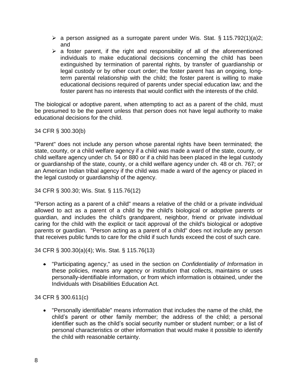- $\triangleright$  a person assigned as a surrogate parent under Wis. Stat. § 115.792(1)(a)2; and
- $\triangleright$  a foster parent, if the right and responsibility of all of the aforementioned individuals to make educational decisions concerning the child has been extinguished by termination of parental rights, by transfer of guardianship or legal custody or by other court order; the foster parent has an ongoing, longterm parental relationship with the child; the foster parent is willing to make educational decisions required of parents under special education law; and the foster parent has no interests that would conflict with the interests of the child.

The biological or adoptive parent, when attempting to act as a parent of the child, must be presumed to be the parent unless that person does not have legal authority to make educational decisions for the child.

34 CFR § 300.30(b)

"Parent" does not include any person whose parental rights have been terminated; the state, county, or a child welfare agency if a child was made a ward of the state, county, or child welfare agency under ch. 54 or 880 or if a child has been placed in the legal custody or guardianship of the state, county, or a child welfare agency under ch. 48 or ch. 767; or an American Indian tribal agency if the child was made a ward of the agency or placed in the legal custody or guardianship of the agency.

34 CFR § 300.30; Wis. Stat. § 115.76(12)

"Person acting as a parent of a child" means a relative of the child or a private individual allowed to act as a parent of a child by the child's biological or adoptive parents or guardian, and includes the child's grandparent, neighbor, friend or private individual caring for the child with the explicit or tacit approval of the child's biological or adoptive parents or guardian. "Person acting as a parent of a child" does not include any person that receives public funds to care for the child if such funds exceed the cost of such care.

34 CFR § 300.30(a)(4); Wis. Stat. § 115.76(13)

 "Participating agency," as used in the section on *Confidentiality of Information* in these policies, means any agency or institution that collects, maintains or uses personally-identifiable information, or from which information is obtained, under the Individuals with Disabilities Education Act.

34 CFR § 300.611(c)

 "Personally identifiable" means information that includes the name of the child, the child's parent or other family member; the address of the child; a personal identifier such as the child's social security number or student number; or a list of personal characteristics or other information that would make it possible to identify the child with reasonable certainty.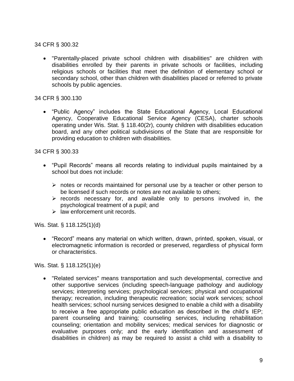#### 34 CFR § 300.32

 "Parentally-placed private school children with disabilities" are children with disabilities enrolled by their parents in private schools or facilities, including religious schools or facilities that meet the definition of elementary school or secondary school, other than children with disabilities placed or referred to private schools by public agencies.

34 CFR § 300.130

 "Public Agency" includes the State Educational Agency, Local Educational Agency, Cooperative Educational Service Agency (CESA), charter schools operating under Wis. Stat. § 118.40(2r), county children with disabilities education board, and any other political subdivisions of the State that are responsible for providing education to children with disabilities.

34 CFR § 300.33

- "Pupil Records" means all records relating to individual pupils maintained by a school but does not include:
	- $\triangleright$  notes or records maintained for personal use by a teacher or other person to be licensed if such records or notes are not available to others;
	- $\triangleright$  records necessary for, and available only to persons involved in, the psychological treatment of a pupil; and
	- $\triangleright$  law enforcement unit records.

Wis. Stat. § 118.125(1)(d)

 "Record" means any material on which written, drawn, printed, spoken, visual, or electromagnetic information is recorded or preserved, regardless of physical form or characteristics.

Wis. Stat. § 118.125(1)(e)

 "Related services" means transportation and such developmental, corrective and other supportive services (including speech-language pathology and audiology services; interpreting services; psychological services; physical and occupational therapy; recreation, including therapeutic recreation; social work services; school health services; school nursing services designed to enable a child with a disability to receive a free appropriate public education as described in the child's IEP; parent counseling and training*;* counseling services, including rehabilitation counseling; orientation and mobility services; medical services for diagnostic or evaluative purposes only; and the early identification and assessment of disabilities in children) as may be required to assist a child with a disability to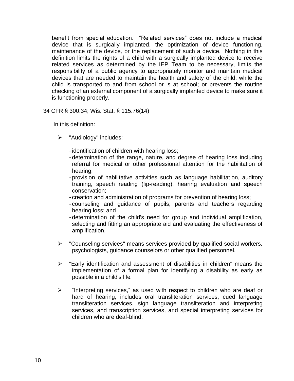benefit from special education. "Related services" does not include a medical device that is surgically implanted, the optimization of device functioning, maintenance of the device*,* or the replacement of such a device. Nothing in this definition limits the rights of a child with a surgically implanted device to receive related services as determined by the IEP Team to be necessary, limits the responsibility of a public agency to appropriately monitor and maintain medical devices that are needed to maintain the health and safety of the child, while the child is transported to and from school or is at school; or prevents the routine checking of an external component of a surgically implanted device to make sure it is functioning properly.

34 CFR § 300.34; Wis. Stat. § 115.76(14)

In this definition:

- > "Audiology" includes:
	- identification of children with hearing loss;
	- determination of the range, nature, and degree of hearing loss including referral for medical or other professional attention for the habilitation of hearing;
	- provision of habilitative activities such as language habilitation, auditory training, speech reading (lip-reading), hearing evaluation and speech conservation;
	- creation and administration of programs for prevention of hearing loss;
	- counseling and guidance of pupils, parents and teachers regarding hearing loss; and
	- determination of the child's need for group and individual amplification, selecting and fitting an appropriate aid and evaluating the effectiveness of amplification.
- $\triangleright$  "Counseling services" means services provided by qualified social workers, psychologists, guidance counselors or other qualified personnel.
- "Early identification and assessment of disabilities in children" means the implementation of a formal plan for identifying a disability as early as possible in a child's life*.*
- $\triangleright$  "Interpreting services," as used with respect to children who are deaf or hard of hearing, includes oral transliteration services, cued language transliteration services, sign language transliteration and interpreting services, and transcription services, and special interpreting services for children who are deaf-blind.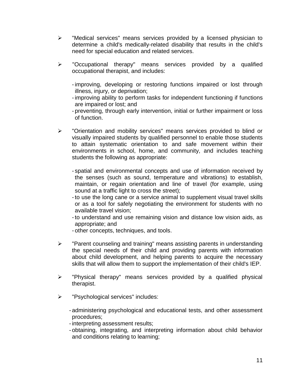- > "Medical services" means services provided by a licensed physician to determine a child's medically-related disability that results in the child's need for special education and related services.
- > "Occupational therapy" means services provided by a qualified occupational therapist, and includes:
	- improving, developing or restoring functions impaired or lost through illness, injury, or deprivation;
	- improving ability to perform tasks for independent functioning if functions are impaired or lost; and
	- preventing, through early intervention, initial or further impairment or loss of function.
- > "Orientation and mobility services" means services provided to blind or visually impaired students by qualified personnel to enable those students to attain systematic orientation to and safe movement within their environments in school, home, and community, and includes teaching students the following as appropriate:
	- spatial and environmental concepts and use of information received by the senses (such as sound, temperature and vibrations) to establish, maintain, or regain orientation and line of travel (for example, using sound at a traffic light to cross the street);
	- to use the long cane or a service animal to supplement visual travel skills or as a tool for safely negotiating the environment for students with no available travel vision;
	- to understand and use remaining vision and distance low vision aids, as appropriate; and
	- other concepts, techniques, and tools.
- $\triangleright$  "Parent counseling and training" means assisting parents in understanding the special needs of their child and providing parents with information about child development, and helping parents to acquire the necessary skills that will allow them to support the implementation of their child's IEP.
- $\triangleright$  "Physical therapy" means services provided by a qualified physical therapist.
- > "Psychological services" includes:
	- administering psychological and educational tests, and other assessment procedures;
	- interpreting assessment results;
	- obtaining, integrating, and interpreting information about child behavior and conditions relating to learning;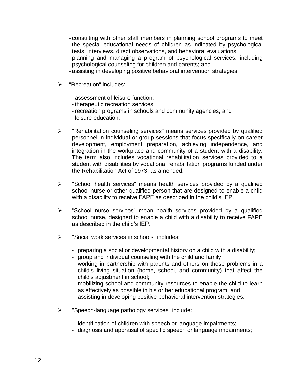- consulting with other staff members in planning school programs to meet the special educational needs of children as indicated by psychological tests, interviews, direct observations, and behavioral evaluations;
- planning and managing a program of psychological services, including psychological counseling for children and parents; and
- assisting in developing positive behavioral intervention strategies.
- > "Recreation" includes:
	- assessment of leisure function;
	- therapeutic recreation services;
	- recreation programs in schools and community agencies; and
	- leisure education.
- Exteeds The Nehabilitation counseling services" means services provided by qualified personnel in individual or group sessions that focus specifically on career development, employment preparation, achieving independence, and integration in the workplace and community of a student with a disability. The term also includes vocational rehabilitation services provided to a student with disabilities by vocational rehabilitation programs funded under the Rehabilitation Act of 1973, as amended.
- $\triangleright$  "School health services" means health services provided by a qualified school nurse or other qualified person that are designed to enable a child with a disability to receive FAPE as described in the child's IEP.
- $\triangleright$  "School nurse services" mean health services provided by a qualified school nurse, designed to enable a child with a disability to receive FAPE as described in the child's IEP.
- Social work services in schools" includes:
	- preparing a social or developmental history on a child with a disability;
	- group and individual counseling with the child and family;
	- working in partnership with parents and others on those problems in a child's living situation (home, school, and community) that affect the child's adjustment in school;
	- mobilizing school and community resources to enable the child to learn as effectively as possible in his or her educational program; and
	- assisting in developing positive behavioral intervention strategies.
- "Speech-language pathology services" include:
	- identification of children with speech or language impairments;
	- diagnosis and appraisal of specific speech or language impairments;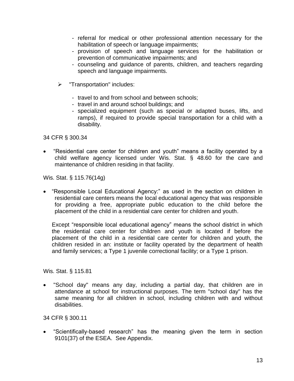- referral for medical or other professional attention necessary for the habilitation of speech or language impairments;
- provision of speech and language services for the habilitation or prevention of communicative impairments; and
- counseling and guidance of parents, children, and teachers regarding speech and language impairments.
- > "Transportation" includes:
	- travel to and from school and between schools;
	- travel in and around school buildings; and
	- specialized equipment (such as special or adapted buses, lifts, and ramps), if required to provide special transportation for a child with a disability.

34 CFR § 300.34

 "Residential care center for children and youth" means a facility operated by a child welfare agency licensed under Wis. Stat. § 48.60 for the care and maintenance of children residing in that facility.

Wis. Stat. § 115.76(14g)

• "Responsible Local Educational Agency:" as used in the section on children in residential care centers means the local educational agency that was responsible for providing a free, appropriate public education to the child before the placement of the child in a residential care center for children and youth.

Except "responsible local educational agency" means the school district in which the residential care center for children and youth is located if before the placement of the child in a residential care center for children and youth, the children resided in an: institute or facility operated by the department of health and family services; a Type 1 juvenile correctional facility; or a Type 1 prison.

Wis. Stat. § 115.81

 "School day" means any day, including a partial day, that children are in attendance at school for instructional purposes. The term "school day" has the same meaning for all children in school, including children with and without disabilities.

34 CFR § 300.11

 "Scientifically-based research" has the meaning given the term in section 9101(37) of the ESEA. See Appendix.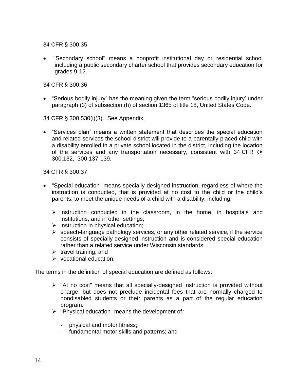34 CFR § 300.35

 "Secondary school" means a nonprofit institutional day or residential school including a public secondary charter school that provides secondary education for grades 9-12.

34 CFR § 300.36

 "Serious bodily injury" has the meaning given the term "serious bodily injury' under paragraph (3) of subsection (h) of section 1365 of title 18, United States Code.

34 CFR § 300.530(i)(3). See Appendix.

 "Services plan" means a written statement that describes the special education and related services the school district will provide to a parentally-placed child with a disability enrolled in a private school located in the district, including the location of the services and any transportation necessary, consistent with 34 CFR *§*§ 300.132, 300.137-139.

34 CFR § 300.37

- "Special education" means specially-designed instruction, regardless of where the instruction is conducted, that is provided at no cost to the child or the child's parents, to meet the unique needs of a child with a disability, including:
	- $\triangleright$  instruction conducted in the classroom, in the home, in hospitals and institutions, and in other settings;
	- $\triangleright$  instruction in physical education;
	- $\triangleright$  speech-language pathology services, or any other related service, if the service consists of specially-designed instruction and is considered special education rather than a related service under Wisconsin standards;
	- $\triangleright$  travel training; and
	- $\triangleright$  vocational education.

The terms in the definition of special education are defined as follows:

- $\triangleright$  "At no cost" means that all specially-designed instruction is provided without charge, but does not preclude incidental fees that are normally charged to nondisabled students or their parents as a part of the regular education program*.*
- "Physical education" means the development of*:*
	- physical and motor fitness;
	- fundamental motor skills and patterns; and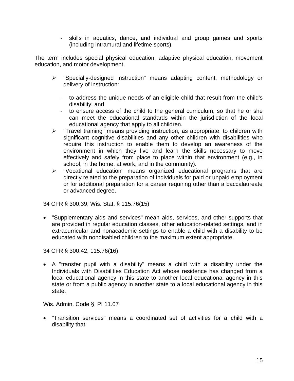- skills in aquatics, dance, and individual and group games and sports (including intramural and lifetime sports).

The term includes special physical education, adaptive physical education, movement education, and motor development.

- "Specially-designed instruction" means adapting content, methodology or delivery of instruction:
	- to address the unique needs of an eligible child that result from the child's disability; and
	- to ensure access of the child to the general curriculum, so that he or she can meet the educational standards within the jurisdiction of the local educational agency that apply to all children.
- > "Travel training" means providing instruction, as appropriate, to children with significant cognitive disabilities and any other children with disabilities who require this instruction to enable them to develop an awareness of the environment in which they live and learn the skills necessary to move effectively and safely from place to place within that environment (e.g., in school, in the home, at work, and in the community).
- $\triangleright$  "Vocational education" means organized educational programs that are directly related to the preparation of individuals for paid or unpaid employment or for additional preparation for a career requiring other than a baccalaureate or advanced degree.

34 CFR § 300.39; Wis. Stat. § 115.76(15)

 "Supplementary aids and services" mean aids, services, and other supports that are provided in regular education classes, other education-related settings, and in extracurricular and nonacademic settings to enable a child with a disability to be educated with nondisabled children to the maximum extent appropriate.

34 CFR § 300.42, 115.76(16)

 A "transfer pupil with a disability" means a child with a disability under the Individuals with Disabilities Education Act whose residence has changed from a local educational agency in this state to another local educational agency in this state or from a public agency in another state to a local educational agency in this state.

Wis. Admin. Code § PI 11.07

 "Transition services" means a coordinated set of activities for a child with a disability that: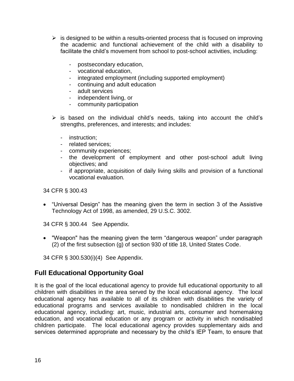- $\triangleright$  is designed to be within a results-oriented process that is focused on improving the academic and functional achievement of the child with a disability to facilitate the child's movement from school to post-school activities, including:
	- postsecondary education,
	- vocational education,
	- integrated employment (including supported employment)
	- continuing and adult education
	- adult services
	- independent living, or
	- community participation
- $\triangleright$  is based on the individual child's needs, taking into account the child's strengths, preferences, and interests; and includes:
	- instruction;
	- related services;
	- community experiences;
	- the development of employment and other post-school adult living objectives; and
	- if appropriate, acquisition of daily living skills and provision of a functional vocational evaluation*.*

34 CFR § 300.43

 "Universal Design" has the meaning given the term in section 3 of the Assistive Technology Act of 1998, as amended, 29 U.S.C. 3002.

34 CFR § 300.44 See Appendix.

 "Weapon" has the meaning given the term "dangerous weapon" under paragraph (2) of the first subsection (g) of section 930 of title 18, United States Code.

34 CFR § 300.530(i)(4) See Appendix.

## **Full Educational Opportunity Goal**

It is the goal of the local educational agency to provide full educational opportunity to all children with disabilities in the area served by the local educational agency. The local educational agency has available to all of its children with disabilities the variety of educational programs and services available to nondisabled children in the local educational agency, including: art, music, industrial arts, consumer and homemaking education, and vocational education or any program or activity in which nondisabled children participate. The local educational agency provides supplementary aids and services determined appropriate and necessary by the child's IEP Team, to ensure that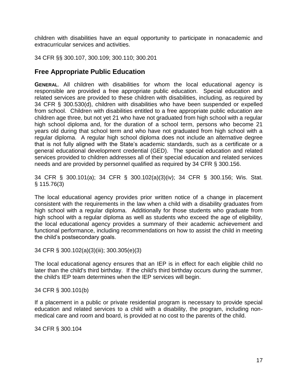children with disabilities have an equal opportunity to participate in nonacademic and extracurricular services and activities.

34 CFR §§ 300.107, 300.109; 300.110; 300.201

## **Free Appropriate Public Education**

**GENERAL.** All children with disabilities for whom the local educational agency is responsible are provided a free appropriate public education. Special education and related services are provided to these children with disabilities, including, as required by 34 CFR § 300.530(d), children with disabilities who have been suspended or expelled from school. Children with disabilities entitled to a free appropriate public education are children age three, but not yet 21 who have not graduated from high school with a regular high school diploma and, for the duration of a school term, persons who become 21 years old during that school term and who have not graduated from high school with a regular diploma. A regular high school diploma does not include an alternative degree that is not fully aligned with the State's academic standards, such as a certificate or a general educational development credential (GED). The special education and related services provided to children addresses all of their special education and related services needs and are provided by personnel qualified as required by 34 CFR § 300.156.

34 CFR § 300.101(a); 34 CFR § 300.102(a)(3)(iv); 34 CFR § 300.156; Wis. Stat. § 115.76(3)

The local educational agency provides prior written notice of a change in placement consistent with the requirements in the law when a child with a disability graduates from high school with a regular diploma. Additionally for those students who graduate from high school with a regular diploma as well as students who exceed the age of eligibility, the local educational agency provides a summary of their academic achievement and functional performance, including recommendations on how to assist the child in meeting the child's postsecondary goals.

34 CFR § 300.102(a)(3)(iii); 300.305(e)(3)

The local educational agency ensures that an IEP is in effect for each eligible child no later than the child's third birthday. If the child's third birthday occurs during the summer, the child's IEP team determines when the IEP services will begin.

34 CFR § 300.101(b)

If a placement in a public or private residential program is necessary to provide special education and related services to a child with a disability, the program, including nonmedical care and room and board, is provided at no cost to the parents of the child.

34 CFR § 300.104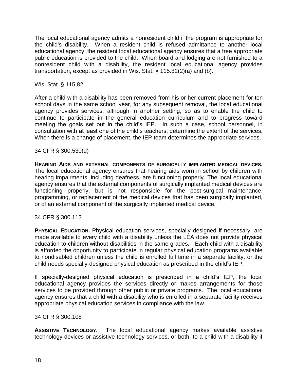The local educational agency admits a nonresident child if the program is appropriate for the child's disability. When a resident child is refused admittance to another local educational agency, the resident local educational agency ensures that a free appropriate public education is provided to the child. When board and lodging are not furnished to a nonresident child with a disability, the resident local educational agency provides transportation, except as provided in Wis. Stat. § 115.82(2)(a) and (b).

Wis. Stat. § 115.82

After a child with a disability has been removed from his or her current placement for ten school days in the same school year, for any subsequent removal, the local educational agency provides services, although in another setting, so as to enable the child to continue to participate in the general education curriculum and to progress toward meeting the goals set out in the child's IEP. In such a case, school personnel, in consultation with at least one of the child's teachers, determine the extent of the services. When there is a change of placement, the IEP team determines the appropriate services.

#### 34 CFR § 300.530(d)

**HEARING AIDS AND EXTERNAL COMPONENTS OF SURGICALLY IMPLANTED MEDICAL DEVICES.**  The local educational agency ensures that hearing aids worn in school by children with hearing impairments, including deafness, are functioning properly. The local educational agency ensures that the external components of surgically implanted medical devices are functioning properly, but is not responsible for the post-surgical maintenance, programming, or replacement of the medical devices that has been surgically implanted, or of an external component of the surgically implanted medical device.

#### 34 CFR § 300.113

**PHYSICAL EDUCATION.** Physical education services, specially designed if necessary, are made available to every child with a disability unless the LEA does not provide physical education to children without disabilities in the same grades. Each child with a disability is afforded the opportunity to participate in regular physical education programs available to nondisabled children unless the child is enrolled full time in a separate facility, or the child needs specially-designed physical education as prescribed in the child's IEP.

If specially-designed physical education is prescribed in a child's IEP, the local educational agency provides the services directly or makes arrangements for those services to be provided through other public or private programs. The local educational agency ensures that a child with a disability who is enrolled in a separate facility receives appropriate physical education services in compliance with the law.

#### 34 CFR § 300.108

**ASSISTIVE TECHNOLOGY.** The local educational agency makes available assistive technology devices or assistive technology services, or both, to a child with a disability if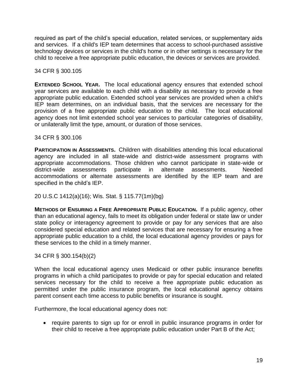required as part of the child's special education, related services, or supplementary aids and services. If a child's IEP team determines that access to school-purchased assistive technology devices or services in the child's home or in other settings is necessary for the child to receive a free appropriate public education, the devices or services are provided.

#### 34 CFR § 300.105

**EXTENDED SCHOOL YEAR.** The local educational agency ensures that extended school year services are available to each child with a disability as necessary to provide a free appropriate public education. Extended school year services are provided when a child's IEP team determines, on an individual basis, that the services are necessary for the provision of a free appropriate public education to the child. The local educational agency does not limit extended school year services to particular categories of disability, or unilaterally limit the type, amount, or duration of those services.

34 CFR § 300.106

**PARTICIPATION IN ASSESSMENTS.** Children with disabilities attending this local educational agency are included in all state-wide and district-wide assessment programs with appropriate accommodations. Those children who cannot participate in state-wide or district-wide assessments participate in alternate assessments. Needed accommodations or alternate assessments are identified by the IEP team and are specified in the child's IEP.

#### 20 U.S.C 1412(a)(16); Wis. Stat. § 115.77(1m)(bg)

**METHODS OF ENSURING A FREE APPROPRIATE PUBLIC EDUCATION.** If a public agency, other than an educational agency, fails to meet its obligation under federal or state law or under state policy or interagency agreement to provide or pay for any services that are also considered special education and related services that are necessary for ensuring a free appropriate public education to a child, the local educational agency provides or pays for these services to the child in a timely manner.

#### 34 CFR § 300.154(b)(2)

When the local educational agency uses Medicaid or other public insurance benefits programs in which a child participates to provide or pay for special education and related services necessary for the child to receive a free appropriate public education as permitted under the public insurance program, the local educational agency obtains parent consent each time access to public benefits or insurance is sought.

Furthermore, the local educational agency does not:

• require parents to sign up for or enroll in public insurance programs in order for their child to receive a free appropriate public education under Part B of the Act;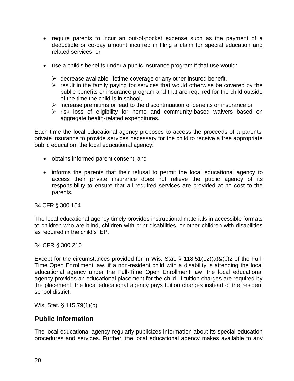- require parents to incur an out-of-pocket expense such as the payment of a deductible or co-pay amount incurred in filing a claim for special education and related services; or
- use a child's benefits under a public insurance program if that use would:
	- $\triangleright$  decrease available lifetime coverage or any other insured benefit,
	- $\triangleright$  result in the family paying for services that would otherwise be covered by the public benefits or insurance program and that are required for the child outside of the time the child is in school,
	- $\triangleright$  increase premiums or lead to the discontinuation of benefits or insurance or
	- $\triangleright$  risk loss of eligibility for home and community-based waivers based on aggregate health-related expenditures.

Each time the local educational agency proposes to access the proceeds of a parents' private insurance to provide services necessary for the child to receive a free appropriate public education, the local educational agency:

- obtains informed parent consent; and
- informs the parents that their refusal to permit the local educational agency to access their private insurance does not relieve the public agency of its responsibility to ensure that all required services are provided at no cost to the parents.

#### 34 CFR § 300.154

The local educational agency timely provides instructional materials in accessible formats to children who are blind, children with print disabilities, or other children with disabilities as required in the child's IEP.

#### 34 CFR § 300.210

Except for the circumstances provided for in Wis. Stat. § 118.51(12)(a)&(b)2 of the Full-Time Open Enrollment law, if a non-resident child with a disability is attending the local educational agency under the Full-Time Open Enrollment law, the local educational agency provides an educational placement for the child. If tuition charges are required by the placement, the local educational agency pays tuition charges instead of the resident school district.

Wis. Stat. § 115.79(1)(b)

### **Public Information**

The local educational agency regularly publicizes information about its special education procedures and services. Further, the local educational agency makes available to any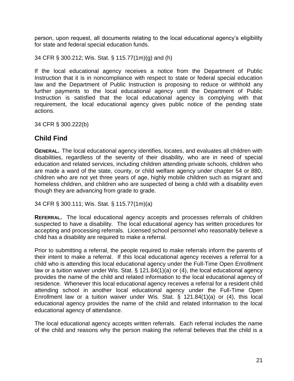person, upon request, all documents relating to the local educational agency's eligibility for state and federal special education funds.

34 CFR § 300.212; Wis. Stat. § 115.77(1m)(g) and (h)

If the local educational agency receives a notice from the Department of Public Instruction that it is in noncompliance with respect to state or federal special education law and the Department of Public Instruction is proposing to reduce or withhold any further payments to the local educational agency until the Department of Public Instruction is satisfied that the local educational agency is complying with that requirement, the local educational agency gives public notice of the pending state actions.

34 CFR § 300.222(b)

## **Child Find**

**GENERAL.** The local educational agency identifies, locates, and evaluates all children with disabilities, regardless of the severity of their disability, who are in need of special education and related services, including children attending private schools, children who are made a ward of the state, county, or child welfare agency under chapter 54 or 880, children who are not yet three years of age, highly mobile children such as migrant and homeless children, and children who are suspected of being a child with a disability even though they are advancing from grade to grade.

34 CFR § 300.111; Wis. Stat. § 115.77(1m)(a)

**REFERRAL.** The local educational agency accepts and processes referrals of children suspected to have a disability. The local educational agency has written procedures for accepting and processing referrals. Licensed school personnel who reasonably believe a child has a disability are required to make a referral.

Prior to submitting a referral, the people required to make referrals inform the parents of their intent to make a referral. If this local educational agency receives a referral for a child who is attending this local educational agency under the Full-Time Open Enrollment law or a tuition waiver under Wis. Stat. § 121.84(1)(a) or (4), the local educational agency provides the name of the child and related information to the local educational agency of residence. Whenever this local educational agency receives a referral for a resident child attending school in another local educational agency under the Full-Time Open Enrollment law or a tuition waiver under Wis. Stat. § 121.84(1)(a) or (4), this local educational agency provides the name of the child and related information to the local educational agency of attendance.

The local educational agency accepts written referrals. Each referral includes the name of the child and reasons why the person making the referral believes that the child is a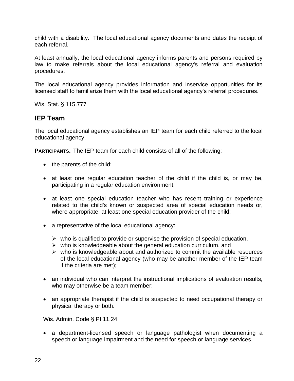child with a disability. The local educational agency documents and dates the receipt of each referral.

At least annually, the local educational agency informs parents and persons required by law to make referrals about the local educational agency's referral and evaluation procedures.

The local educational agency provides information and inservice opportunities for its licensed staff to familiarize them with the local educational agency's referral procedures.

Wis. Stat. § 115.777

## **IEP Team**

The local educational agency establishes an IEP team for each child referred to the local educational agency.

**PARTICIPANTS.** The IEP team for each child consists of all of the following:

- the parents of the child;
- at least one regular education teacher of the child if the child is, or may be, participating in a regular education environment;
- at least one special education teacher who has recent training or experience related to the child's known or suspected area of special education needs or, where appropriate, at least one special education provider of the child;
- a representative of the local educational agency:
	- $\triangleright$  who is qualified to provide or supervise the provision of special education,
	- $\triangleright$  who is knowledgeable about the general education curriculum, and
	- $\triangleright$  who is knowledgeable about and authorized to commit the available resources of the local educational agency (who may be another member of the IEP team if the criteria are met);
- an individual who can interpret the instructional implications of evaluation results, who may otherwise be a team member;
- an appropriate therapist if the child is suspected to need occupational therapy or physical therapy or both.

Wis. Admin. Code § PI 11.24

 a department-licensed speech or language pathologist when documenting a speech or language impairment and the need for speech or language services.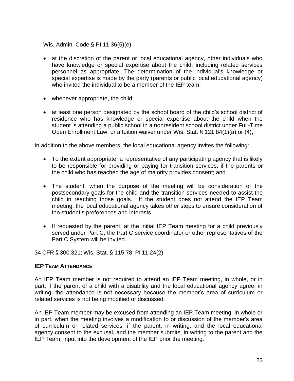Wis. Admin. Code § PI 11.36(5)(e)

- at the discretion of the parent or local educational agency, other individuals who have knowledge or special expertise about the child, including related services personnel as appropriate. The determination of the individual's knowledge or special expertise is made by the party (parents or public local educational agency) who invited the individual to be a member of the IEP team;
- whenever appropriate, the child;
- at least one person designated by the school board of the child's school district of residence who has knowledge or special expertise about the child when the student is attending a public school in a nonresident school district under Full-Time Open Enrollment Law, or a tuition waiver under Wis. Stat. § 121.84(1)(a) or (4),

In addition to the above members, the local educational agency invites the following:

- To the extent appropriate, a representative of any participating agency that is likely to be responsible for providing or paying for transition services, if the parents or the child who has reached the age of majority provides consent; and
- The student, when the purpose of the meeting will be consideration of the postsecondary goals for the child and the transition services needed to assist the child in reaching those goals. If the student does not attend the IEP Team meeting, the local educational agency takes other steps to ensure consideration of the student's preferences and interests.
- If requested by the parent, at the initial IEP Team meeting for a child previously served under Part C, the Part C service coordinator or other representatives of the Part C System will be invited.

34 CFR § 300.321; Wis. Stat. § 115.78; PI 11.24(2)

### **IEP TEAM ATTENDANCE**

An IEP Team member is not required to attend an IEP Team meeting, in whole, or in part, if the parent of a child with a disability and the local educational agency agree, in writing, the attendance is not necessary because the member's area of curriculum or related services is not being modified or discussed.

An IEP Team member may be excused from attending an IEP Team meeting, in whole or in part, when the meeting involves a modification to or discussion of the member's area of curriculum or related services, if the parent, in writing, and the local educational agency consent to the excusal, and the member submits, in writing to the parent and the IEP Team, input into the development of the IEP prior the meeting.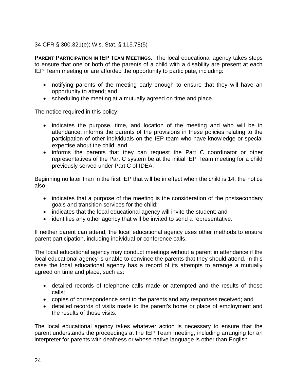#### 34 CFR § 300.321(e); Wis. Stat. § 115.78(5)

**PARENT PARTICIPATION IN IEP TEAM MEETINGS.** The local educational agency takes steps to ensure that one or both of the parents of a child with a disability are present at each IEP Team meeting or are afforded the opportunity to participate, including:

- notifying parents of the meeting early enough to ensure that they will have an opportunity to attend; and
- scheduling the meeting at a mutually agreed on time and place.

The notice required in this policy:

- indicates the purpose, time, and location of the meeting and who will be in attendance; informs the parents of the provisions in these policies relating to the participation of other individuals on the IEP team who have knowledge or special expertise about the child; and
- informs the parents that they can request the Part C coordinator or other representatives of the Part C system be at the initial IEP Team meeting for a child previously served under Part C of IDEA.

Beginning no later than in the first IEP that will be in effect when the child is 14, the notice also:

- indicates that a purpose of the meeting is the consideration of the postsecondary goals and transition services for the child;
- indicates that the local educational agency will invite the student; and
- identifies any other agency that will be invited to send a representative.

If neither parent can attend, the local educational agency uses other methods to ensure parent participation, including individual or conference calls.

The local educational agency may conduct meetings without a parent in attendance if the local educational agency is unable to convince the parents that they should attend. In this case the local educational agency has a record of its attempts to arrange a mutually agreed on time and place, such as:

- detailed records of telephone calls made or attempted and the results of those calls;
- copies of correspondence sent to the parents and any responses received; and
- detailed records of visits made to the parent's home or place of employment and the results of those visits.

The local educational agency takes whatever action is necessary to ensure that the parent understands the proceedings at the IEP Team meeting, including arranging for an interpreter for parents with deafness or whose native language is other than English.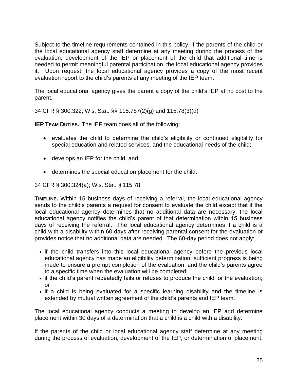Subject to the timeline requirements contained in this policy, if the parents of the child or the local educational agency staff determine at any meeting during the process of the evaluation, development of the IEP or placement of the child that additional time is needed to permit meaningful parental participation, the local educational agency provides it. Upon request, the local educational agency provides a copy of the most recent evaluation report to the child's parents at any meeting of the IEP team.

The local educational agency gives the parent a copy of the child's IEP at no cost to the parent.

34 CFR § 300.322; Wis. Stat. §§ 115.787(2)(g) and 115.78(3)(d)

**IEP TEAM DUTIES.** The IEP team does all of the following:

- evaluates the child to determine the child's eligibility or continued eligibility for special education and related services, and the educational needs of the child;
- develops an IEP for the child; and
- determines the special education placement for the child.

34 CFR § 300.324(a); Wis. Stat. § 115.78

**TIMELINE.** Within 15 business days of receiving a referral, the local educational agency sends to the child's parents a request for consent to evaluate the child except that if the local educational agency determines that no additional data are necessary, the local educational agency notifies the child's parent of that determination within 15 business days of receiving the referral. The local educational agency determines if a child is a child with a disability within 60 days after receiving parental consent for the evaluation or provides notice that no additional data are needed. The 60-day period does not apply:

- if the child transfers into this local educational agency before the previous local educational agency has made an eligibility determination, sufficient progress is being made to ensure a prompt completion of the evaluation, and the child's parents agree to a specific time when the evaluation will be completed;
- if the child's parent repeatedly fails or refuses to produce the child for the evaluation; or
- if a child is being evaluated for a specific learning disability and the timeline is extended by mutual written agreement of the child's parents and IEP team.

The local educational agency conducts a meeting to develop an IEP and determine placement within 30 days of a determination that a child is a child with a disability.

If the parents of the child or local educational agency staff determine at any meeting during the process of evaluation, development of the IEP, or determination of placement,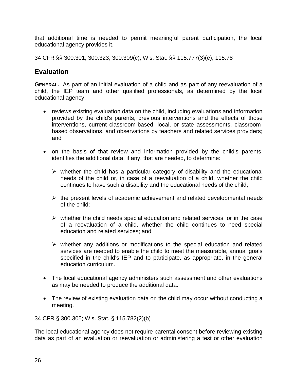that additional time is needed to permit meaningful parent participation, the local educational agency provides it.

34 CFR §§ 300.301, 300.323, 300.309(c); Wis. Stat. §§ 115.777(3)(e), 115.78

## **Evaluation**

**GENERAL.** As part of an initial evaluation of a child and as part of any reevaluation of a child, the IEP team and other qualified professionals, as determined by the local educational agency:

- reviews existing evaluation data on the child, including evaluations and information provided by the child's parents, previous interventions and the effects of those interventions, current classroom-based, local, or state assessments, classroombased observations, and observations by teachers and related services providers; and
- on the basis of that review and information provided by the child's parents, identifies the additional data, if any, that are needed, to determine:
	- $\triangleright$  whether the child has a particular category of disability and the educational needs of the child or, in case of a reevaluation of a child, whether the child continues to have such a disability and the educational needs of the child;
	- $\triangleright$  the present levels of academic achievement and related developmental needs of the child;
	- $\triangleright$  whether the child needs special education and related services, or in the case of a reevaluation of a child, whether the child continues to need special education and related services; and
	- $\triangleright$  whether any additions or modifications to the special education and related services are needed to enable the child to meet the measurable, annual goals specified in the child's IEP and to participate, as appropriate, in the general education curriculum.
- The local educational agency administers such assessment and other evaluations as may be needed to produce the additional data.
- The review of existing evaluation data on the child may occur without conducting a meeting.

34 CFR § 300.305; Wis. Stat. § 115.782(2)(b)

The local educational agency does not require parental consent before reviewing existing data as part of an evaluation or reevaluation or administering a test or other evaluation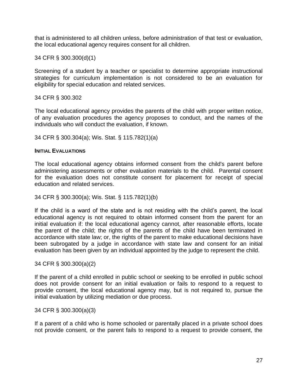that is administered to all children unless, before administration of that test or evaluation, the local educational agency requires consent for all children.

34 CFR § 300.300(d)(1)

Screening of a student by a teacher or specialist to determine appropriate instructional strategies for curriculum implementation is not considered to be an evaluation for eligibility for special education and related services.

34 CFR § 300.302

The local educational agency provides the parents of the child with proper written notice, of any evaluation procedures the agency proposes to conduct, and the names of the individuals who will conduct the evaluation, if known.

34 CFR § 300.304(a); Wis. Stat. § 115.782(1)(a)

#### **INITIAL EVALUATIONS**

The local educational agency obtains informed consent from the child's parent before administering assessments or other evaluation materials to the child. Parental consent for the evaluation does not constitute consent for placement for receipt of special education and related services.

34 CFR § 300.300(a); Wis. Stat. § 115.782(1)(b)

If the child is a ward of the state and is not residing with the child's parent, the local educational agency is not required to obtain informed consent from the parent for an initial evaluation if: the local educational agency cannot, after reasonable efforts, locate the parent of the child; the rights of the parents of the child have been terminated in accordance with state law; or, the rights of the parent to make educational decisions have been subrogated by a judge in accordance with state law and consent for an initial evaluation has been given by an individual appointed by the judge to represent the child.

34 CFR § 300.300(a)(2)

If the parent of a child enrolled in public school or seeking to be enrolled in public school does not provide consent for an initial evaluation or fails to respond to a request to provide consent, the local educational agency may, but is not required to, pursue the initial evaluation by utilizing mediation or due process.

34 CFR § 300.300(a)(3)

If a parent of a child who is home schooled or parentally placed in a private school does not provide consent, or the parent fails to respond to a request to provide consent, the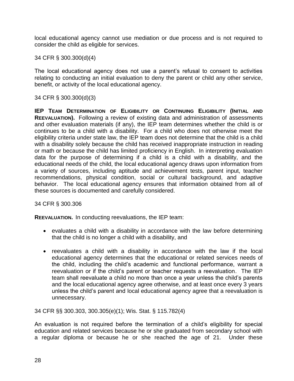local educational agency cannot use mediation or due process and is not required to consider the child as eligible for services.

34 CFR § 300.300(d)(4)

The local educational agency does not use a parent's refusal to consent to activities relating to conducting an initial evaluation to deny the parent or child any other service, benefit, or activity of the local educational agency.

#### 34 CFR § 300.300(d)(3)

**IEP TEAM DETERMINATION OF ELIGIBILITY OR CONTINUING ELIGIBILITY (INITIAL AND REEVALUATION).** Following a review of existing data and administration of assessments and other evaluation materials (if any), the IEP team determines whether the child is or continues to be a child with a disability. For a child who does not otherwise meet the eligibility criteria under state law, the IEP team does not determine that the child is a child with a disability solely because the child has received inappropriate instruction in reading or math or because the child has limited proficiency in English. In interpreting evaluation data for the purpose of determining if a child is a child with a disability, and the educational needs of the child, the local educational agency draws upon information from a variety of sources, including aptitude and achievement tests, parent input, teacher recommendations, physical condition, social or cultural background, and adaptive behavior. The local educational agency ensures that information obtained from all of these sources is documented and carefully considered.

34 CFR § 300.306

**REEVALUATION.** In conducting reevaluations, the IEP team:

- evaluates a child with a disability in accordance with the law before determining that the child is no longer a child with a disability, and
- reevaluates a child with a disability in accordance with the law if the local educational agency determines that the educational or related services needs of the child, including the child's academic and functional performance, warrant a reevaluation or if the child's parent or teacher requests a reevaluation. The IEP team shall reevaluate a child no more than once a year unless the child's parents and the local educational agency agree otherwise, and at least once every 3 years unless the child's parent and local educational agency agree that a reevaluation is unnecessary.

34 CFR §§ 300.303, 300.305(e)(1); Wis. Stat. § 115.782(4)

An evaluation is not required before the termination of a child's eligibility for special education and related services because he or she graduated from secondary school with a regular diploma or because he or she reached the age of 21. Under these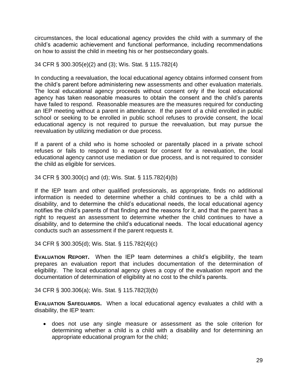circumstances, the local educational agency provides the child with a summary of the child's academic achievement and functional performance, including recommendations on how to assist the child in meeting his or her postsecondary goals.

34 CFR § 300.305(e)(2) and (3); Wis. Stat. § 115.782(4)

In conducting a reevaluation, the local educational agency obtains informed consent from the child's parent before administering new assessments and other evaluation materials. The local educational agency proceeds without consent only if the local educational agency has taken reasonable measures to obtain the consent and the child's parents have failed to respond. Reasonable measures are the measures required for conducting an IEP meeting without a parent in attendance. If the parent of a child enrolled in public school or seeking to be enrolled in public school refuses to provide consent, the local educational agency is not required to pursue the reevaluation, but may pursue the reevaluation by utilizing mediation or due process.

If a parent of a child who is home schooled or parentally placed in a private school refuses or fails to respond to a request for consent for a reevaluation, the local educational agency cannot use mediation or due process, and is not required to consider the child as eligible for services.

34 CFR § 300.300(c) and (d); Wis. Stat. § 115.782(4)(b)

If the IEP team and other qualified professionals, as appropriate, finds no additional information is needed to determine whether a child continues to be a child with a disability, and to determine the child's educational needs, the local educational agency notifies the child's parents of that finding and the reasons for it, and that the parent has a right to request an assessment to determine whether the child continues to have a disability, and to determine the child's educational needs. The local educational agency conducts such an assessment if the parent requests it.

34 CFR § 300.305(d); Wis. Stat. § 115.782(4)(c)

**EVALUATION REPORT.** When the IEP team determines a child's eligibility, the team prepares an evaluation report that includes documentation of the determination of eligibility. The local educational agency gives a copy of the evaluation report and the documentation of determination of eligibility at no cost to the child's parents.

34 CFR § 300.306(a); Wis. Stat. § 115.782(3)(b)

**EVALUATION SAFEGUARDS.** When a local educational agency evaluates a child with a disability, the IEP team:

 does not use any single measure or assessment as the sole criterion for determining whether a child is a child with a disability and for determining an appropriate educational program for the child;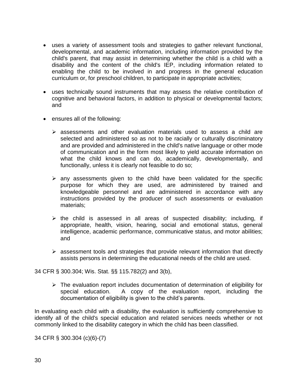- uses a variety of assessment tools and strategies to gather relevant functional, developmental, and academic information, including information provided by the child's parent, that may assist in determining whether the child is a child with a disability and the content of the child's IEP, including information related to enabling the child to be involved in and progress in the general education curriculum or, for preschool children, to participate in appropriate activities;
- uses technically sound instruments that may assess the relative contribution of cognitive and behavioral factors, in addition to physical or developmental factors; and
- ensures all of the following:
	- $\triangleright$  assessments and other evaluation materials used to assess a child are selected and administered so as not to be racially or culturally discriminatory and are provided and administered in the child's native language or other mode of communication and in the form most likely to yield accurate information on what the child knows and can do, academically, developmentally, and functionally, unless it is clearly not feasible to do so;
	- $\triangleright$  any assessments given to the child have been validated for the specific purpose for which they are used, are administered by trained and knowledgeable personnel and are administered in accordance with any instructions provided by the producer of such assessments or evaluation materials;
	- $\triangleright$  the child is assessed in all areas of suspected disability; including, if appropriate, health, vision, hearing, social and emotional status, general intelligence, academic performance, communicative status, and motor abilities; and
	- $\triangleright$  assessment tools and strategies that provide relevant information that directly assists persons in determining the educational needs of the child are used.

34 CFR § 300.304; Wis. Stat. §§ 115.782(2) and 3(b),

 $\triangleright$  The evaluation report includes documentation of determination of eligibility for special education. A copy of the evaluation report, including the documentation of eligibility is given to the child's parents.

In evaluating each child with a disability, the evaluation is sufficiently comprehensive to identify all of the child's special education and related services needs whether or not commonly linked to the disability category in which the child has been classified.

34 CFR § 300.304 (c)(6)-(7)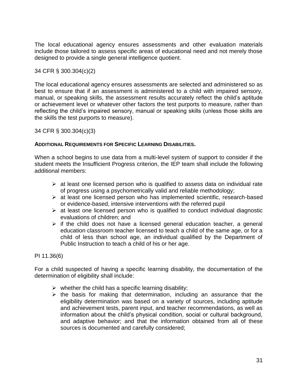The local educational agency ensures assessments and other evaluation materials include those tailored to assess specific areas of educational need and not merely those designed to provide a single general intelligence quotient.

#### 34 CFR § 300.304(c)(2)

The local educational agency ensures assessments are selected and administered so as best to ensure that if an assessment is administered to a child with impaired sensory, manual, or speaking skills, the assessment results accurately reflect the child's aptitude or achievement level or whatever other factors the test purports to measure, rather than reflecting the child's impaired sensory, manual or speaking skills (unless those skills are the skills the test purports to measure).

34 CFR § 300.304(c)(3)

#### **ADDITIONAL REQUIREMENTS FOR SPECIFIC LEARNING DISABILITIES.**

When a school begins to use data from a multi-level system of support to consider if the student meets the Insufficient Progress criterion, the IEP team shall include the following additional members:

- $\triangleright$  at least one licensed person who is qualified to assess data on individual rate of progress using a psychometrically valid and reliable methodology;
- $\triangleright$  at least one licensed person who has implemented scientific, research-based or evidence-based, intensive interventions with the referred pupil
- $\triangleright$  at least one licensed person who is qualified to conduct individual diagnostic evaluations of children; and
- $\triangleright$  if the child does not have a licensed general education teacher, a general education classroom teacher licensed to teach a child of the same age, or for a child of less than school age, an individual qualified by the Department of Public Instruction to teach a child of his or her age.

PI 11.36(6)

For a child suspected of having a specific learning disability, the documentation of the determination of eligibility shall include:

- $\triangleright$  whether the child has a specific learning disability;
- $\triangleright$  the basis for making that determination, including an assurance that the eligibility determination was based on a variety of sources, including aptitude and achievement tests, parent input, and teacher recommendations, as well as information about the child's physical condition, social or cultural background, and adaptive behavior; and that the information obtained from all of these sources is documented and carefully considered;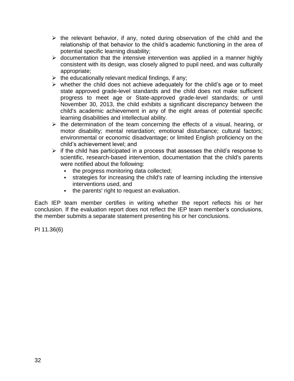- $\triangleright$  the relevant behavior, if any, noted during observation of the child and the relationship of that behavior to the child's academic functioning in the area of potential specific learning disability;
- $\triangleright$  documentation that the intensive intervention was applied in a manner highly consistent with its design, was closely aligned to pupil need, and was culturally appropriate;
- $\triangleright$  the educationally relevant medical findings, if any;
- $\triangleright$  whether the child does not achieve adequately for the child's age or to meet state approved grade-level standards and the child does not make sufficient progress to meet age or State-approved grade-level standards; or until November 30, 2013, the child exhibits a significant discrepancy between the child's academic achievement in any of the eight areas of potential specific learning disabilities and intellectual ability.
- $\triangleright$  the determination of the team concerning the effects of a visual, hearing, or motor disability; mental retardation; emotional disturbance; cultural factors; environmental or economic disadvantage; or limited English proficiency on the child's achievement level; and
- $\triangleright$  if the child has participated in a process that assesses the child's response to scientific, research-based intervention, documentation that the child's parents were notified about the following:
	- the progress monitoring data collected;
	- strategies for increasing the child's rate of learning including the intensive interventions used, and
	- the parents' right to request an evaluation.

Each IEP team member certifies in writing whether the report reflects his or her conclusion. If the evaluation report does not reflect the IEP team member's conclusions, the member submits a separate statement presenting his or her conclusions.

PI 11.36(6)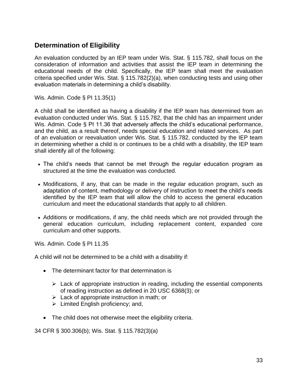# **Determination of Eligibility**

An evaluation conducted by an IEP team under Wis. Stat. § 115.782, shall focus on the consideration of information and activities that assist the IEP team in determining the educational needs of the child. Specifically, the IEP team shall meet the evaluation criteria specified under Wis. Stat. § 115.782(2)(a), when conducting tests and using other evaluation materials in determining a child's disability.

Wis. Admin. Code § PI 11.35(1)

A child shall be identified as having a disability if the IEP team has determined from an evaluation conducted under Wis. Stat. § 115.782, that the child has an impairment under Wis. Admin. Code § PI 11.36 that adversely affects the child's educational performance, and the child, as a result thereof, needs special education and related services. As part of an evaluation or reevaluation under Wis. Stat. § 115.782, conducted by the IEP team in determining whether a child is or continues to be a child with a disability, the IEP team shall identify all of the following:

- The child's needs that cannot be met through the regular education program as structured at the time the evaluation was conducted.
- Modifications, if any, that can be made in the regular education program, such as adaptation of content, methodology or delivery of instruction to meet the child's needs identified by the IEP team that will allow the child to access the general education curriculum and meet the educational standards that apply to all children.
- Additions or modifications, if any, the child needs which are not provided through the general education curriculum, including replacement content, expanded core curriculum and other supports.

Wis. Admin. Code § PI 11.35

A child will not be determined to be a child with a disability if:

- The determinant factor for that determination is
	- $\triangleright$  Lack of appropriate instruction in reading, including the essential components of reading instruction as defined in 20 USC 6368(3); or
	- $\triangleright$  Lack of appropriate instruction in math; or
	- $\triangleright$  Limited English proficiency; and,
- The child does not otherwise meet the eligibility criteria.

34 CFR § 300.306(b); Wis. Stat. § 115.782(3)(a)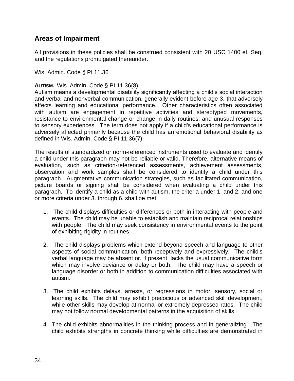## **Areas of Impairment**

All provisions in these policies shall be construed consistent with 20 USC 1400 et. Seq. and the regulations promulgated thereunder.

Wis. Admin. Code § PI 11.36

### **AUTISM.** Wis. Admin. Code § PI 11.36(8)

Autism means a developmental disability significantly affecting a child's social interaction and verbal and nonverbal communication, generally evident before age 3, that adversely affects learning and educational performance. Other characteristics often associated with autism are engagement in repetitive activities and stereotyped movements, resistance to environmental change or change in daily routines, and unusual responses to sensory experiences. The term does not apply if a child's educational performance is adversely affected primarily because the child has an emotional behavioral disability as defined in Wis. Admin. Code § PI 11.36(7).

The results of standardized or norm-referenced instruments used to evaluate and identify a child under this paragraph may not be reliable or valid. Therefore, alternative means of evaluation, such as criterion-referenced assessments, achievement assessments, observation and work samples shall be considered to identify a child under this paragraph. Augmentative communication strategies, such as facilitated communication, picture boards or signing shall be considered when evaluating a child under this paragraph. To identify a child as a child with autism, the criteria under 1. and 2. and one or more criteria under 3. through 6. shall be met.

- 1. The child displays difficulties or differences or both in interacting with people and events. The child may be unable to establish and maintain reciprocal relationships with people. The child may seek consistency in environmental events to the point of exhibiting rigidity in routines.
- 2. The child displays problems which extend beyond speech and language to other aspects of social communication, both receptively and expressively. The child's verbal language may be absent or, if present, lacks the usual communicative form which may involve deviance or delay or both. The child may have a speech or language disorder or both in addition to communication difficulties associated with autism.
- 3. The child exhibits delays, arrests, or regressions in motor, sensory, social or learning skills. The child may exhibit precocious or advanced skill development, while other skills may develop at normal or extremely depressed rates. The child may not follow normal developmental patterns in the acquisition of skills.
- 4. The child exhibits abnormalities in the thinking process and in generalizing. The child exhibits strengths in concrete thinking while difficulties are demonstrated in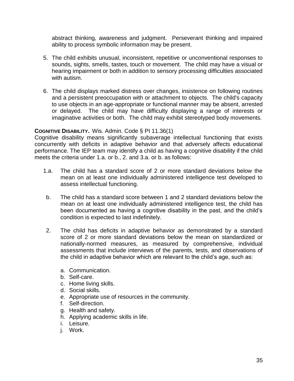abstract thinking, awareness and judgment. Perseverant thinking and impaired ability to process symbolic information may be present.

- 5. The child exhibits unusual, inconsistent, repetitive or unconventional responses to sounds, sights, smells, tastes, touch or movement. The child may have a visual or hearing impairment or both in addition to sensory processing difficulties associated with autism.
- 6. The child displays marked distress over changes, insistence on following routines and a persistent preoccupation with or attachment to objects. The child's capacity to use objects in an age-appropriate or functional manner may be absent, arrested or delayed. The child may have difficulty displaying a range of interests or imaginative activities or both. The child may exhibit stereotyped body movements.

## **COGNITIVE DISABILITY.** Wis. Admin. Code § PI 11.36(1)

Cognitive disability means significantly subaverage intellectual functioning that exists concurrently with deficits in adaptive behavior and that adversely affects educational performance. The IEP team may identify a child as having a cognitive disability if the child meets the criteria under 1.a. or b., 2. and 3.a. or b. as follows:

- 1.a. The child has a standard score of 2 or more standard deviations below the mean on at least one individually administered intelligence test developed to assess intellectual functioning.
- b. The child has a standard score between 1 and 2 standard deviations below the mean on at least one individually administered intelligence test, the child has been documented as having a cognitive disability in the past, and the child's condition is expected to last indefinitely.
- 2. The child has deficits in adaptive behavior as demonstrated by a standard score of 2 or more standard deviations below the mean on standardized or nationally-normed measures, as measured by comprehensive, individual assessments that include interviews of the parents, tests, and observations of the child in adaptive behavior which are relevant to the child's age, such as:
	- a. Communication.
	- b. Self-care.
	- c. Home living skills.
	- d. Social skills.
	- e. Appropriate use of resources in the community.
	- f. Self-direction.
	- g. Health and safety.
	- h. Applying academic skills in life.
	- i. Leisure.
	- j. Work.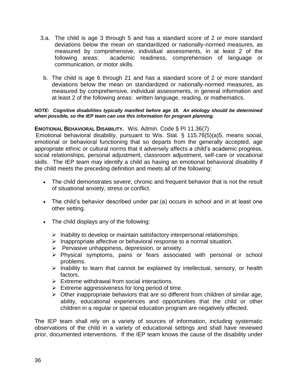- 3.a. The child is age 3 through 5 and has a standard score of 2 or more standard deviations below the mean on standardized or nationally-normed measures, as measured by comprehensive, individual assessments, in at least 2 of the following areas: academic readiness, comprehension of language or communication, or motor skills.
- b. The child is age 6 through 21 and has a standard score of 2 or more standard deviations below the mean on standardized or nationally-normed measures, as measured by comprehensive, individual assessments, in general information and at least 2 of the following areas: written language, reading, or mathematics.

#### *NOTE: Cognitive disabilities typically manifest before age 18. An etiology should be determined when possible, so the IEP team can use this information for program planning.*

### **EMOTIONAL BEHAVIORAL DISABILITY.** Wis. Admin. Code § PI 11.36(7)

Emotional behavioral disability, pursuant to Wis. Stat. § 115.76(5)(a)5, means social, emotional or behavioral functioning that so departs from the generally accepted, age appropriate ethnic or cultural norms that it adversely affects a child's academic progress, social relationships, personal adjustment, classroom adjustment, self-care or vocational skills. The IEP team may identify a child as having an emotional behavioral disability if the child meets the preceding definition and meets all of the following:

- The child demonstrates severe, chronic and frequent behavior that is not the result of situational anxiety, stress or conflict.
- The child's behavior described under par.(a) occurs in school and in at least one other setting.
- The child displays any of the following:
	- $\triangleright$  Inability to develop or maintain satisfactory interpersonal relationships.
	- $\triangleright$  Inappropriate affective or behavioral response to a normal situation.
	- $\triangleright$  Pervasive unhappiness, depression, or anxiety.
	- $\triangleright$  Physical symptoms, pains or fears associated with personal or school problems.
	- $\triangleright$  Inability to learn that cannot be explained by intellectual, sensory, or health factors.
	- $\triangleright$  Extreme withdrawal from social interactions.
	- $\triangleright$  Extreme aggressiveness for long period of time.
	- $\triangleright$  Other inappropriate behaviors that are so different from children of similar age, ability, educational experiences and opportunities that the child or other children in a regular or special education program are negatively affected.

The IEP team shall rely on a variety of sources of information, including systematic observations of the child in a variety of educational settings and shall have reviewed prior, documented interventions. If the IEP team knows the cause of the disability under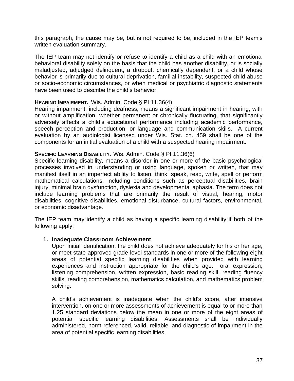this paragraph, the cause may be, but is not required to be, included in the IEP team's written evaluation summary.

The IEP team may not identify or refuse to identify a child as a child with an emotional behavioral disability solely on the basis that the child has another disability, or is socially maladjusted, adjudged delinquent, a dropout, chemically dependent, or a child whose behavior is primarily due to cultural deprivation, familial instability, suspected child abuse or socio-economic circumstances, or when medical or psychiatric diagnostic statements have been used to describe the child's behavior.

### **HEARING IMPAIRMENT.** Wis. Admin. Code § PI 11.36(4)

Hearing impairment, including deafness, means a significant impairment in hearing, with or without amplification, whether permanent or chronically fluctuating, that significantly adversely affects a child's educational performance including academic performance, speech perception and production, or language and communication skills. A current evaluation by an audiologist licensed under Wis. Stat. ch. 459 shall be one of the components for an initial evaluation of a child with a suspected hearing impairment.

#### **SPECIFIC LEARNING DISABILITY.** Wis. Admin. Code § PI 11.36(6)

Specific learning disability, means a disorder in one or more of the basic psychological processes involved in understanding or using language, spoken or written, that may manifest itself in an imperfect ability to listen, think, speak, read, write, spell or perform mathematical calculations, including conditions such as perceptual disabilities, brain injury, minimal brain dysfunction, dyslexia and developmental aphasia. The term does not include learning problems that are primarily the result of visual, hearing, motor disabilities, cognitive disabilities, emotional disturbance, cultural factors, environmental, or economic disadvantage.

The IEP team may identify a child as having a specific learning disability if both of the following apply:

#### **1. Inadequate Classroom Achievement**

Upon initial identification, the child does not achieve adequately for his or her age, or meet state-approved grade-level standards in one or more of the following eight areas of potential specific learning disabilities when provided with learning experiences and instruction appropriate for the child's age: oral expression, listening comprehension, written expression, basic reading skill, reading fluency skills, reading comprehension, mathematics calculation, and mathematics problem solving.

A child's achievement is inadequate when the child's score, after intensive intervention, on one or more assessments of achievement is equal to or more than 1.25 standard deviations below the mean in one or more of the eight areas of potential specific learning disabilities. Assessments shall be individually administered, norm-referenced, valid, reliable, and diagnostic of impairment in the area of potential specific learning disabilities.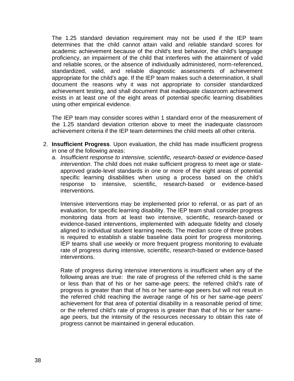The 1.25 standard deviation requirement may not be used if the IEP team determines that the child cannot attain valid and reliable standard scores for academic achievement because of the child's test behavior, the child's language proficiency, an impairment of the child that interferes with the attainment of valid and reliable scores, or the absence of individually administered, norm-referenced, standardized, valid, and reliable diagnostic assessments of achievement appropriate for the child's age. If the IEP team makes such a determination, it shall document the reasons why it was not appropriate to consider standardized achievement testing, and shall document that inadequate classroom achievement exists in at least one of the eight areas of potential specific learning disabilities using other empirical evidence.

The IEP team may consider scores within 1 standard error of the measurement of the 1.25 standard deviation criterion above to meet the inadequate classroom achievement criteria if the IEP team determines the child meets all other criteria.

- 2. **Insufficient Progress**. Upon evaluation, the child has made insufficient progress in one of the following areas:
	- a. *Insufficient response to intensive, scientific, research-based or evidence-based intervention*. The child does not make sufficient progress to meet age or stateapproved grade-level standards in one or more of the eight areas of potential specific learning disabilities when using a process based on the child's response to intensive, scientific, research-based or evidence-based interventions.

Intensive interventions may be implemented prior to referral, or as part of an evaluation, for specific learning disability. The IEP team shall consider progress monitoring data from at least two intensive, scientific, research-based or evidence-based interventions, implemented with adequate fidelity and closely aligned to individual student learning needs. The median score of three probes is required to establish a stable baseline data point for progress monitoring. IEP teams shall use weekly or more frequent progress monitoring to evaluate rate of progress during intensive, scientific, research-based or evidence-based interventions.

Rate of progress during intensive interventions is insufficient when any of the following areas are true: the rate of progress of the referred child is the same or less than that of his or her same-age peers; the referred child's rate of progress is greater than that of his or her same-age peers but will not result in the referred child reaching the average range of his or her same-age peers' achievement for that area of potential disability in a reasonable period of time; or the referred child's rate of progress is greater than that of his or her sameage peers, but the intensity of the resources necessary to obtain this rate of progress cannot be maintained in general education.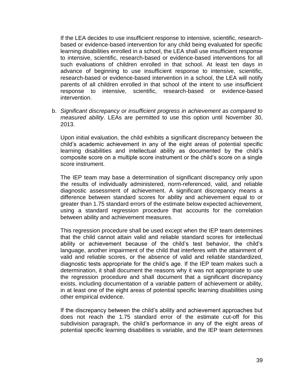If the LEA decides to use insufficient response to intensive, scientific, researchbased or evidence-based intervention for any child being evaluated for specific learning disabilities enrolled in a school, the LEA shall use insufficient response to intensive, scientific, research-based or evidence-based interventions for all such evaluations of children enrolled in that school. At least ten days in advance of beginning to use insufficient response to intensive, scientific, research-based or evidence-based intervention in a school, the LEA will notify parents of all children enrolled in that school of the intent to use insufficient response to intensive, scientific, research-based or evidence-based intervention.

b. *Significant discrepancy or insufficient progress in achievement as compared to measured ability*. LEAs are permitted to use this option until November 30, 2013.

Upon initial evaluation, the child exhibits a significant discrepancy between the child's academic achievement in any of the eight areas of potential specific learning disabilities and intellectual ability as documented by the child's composite score on a multiple score instrument or the child's score on a single score instrument.

The IEP team may base a determination of significant discrepancy only upon the results of individually administered, norm-referenced, valid, and reliable diagnostic assessment of achievement. A significant discrepancy means a difference between standard scores for ability and achievement equal to or greater than 1.75 standard errors of the estimate below expected achievement, using a standard regression procedure that accounts for the correlation between ability and achievement measures.

This regression procedure shall be used except when the IEP team determines that the child cannot attain valid and reliable standard scores for intellectual ability or achievement because of the child's test behavior, the child's language, another impairment of the child that interferes with the attainment of valid and reliable scores, or the absence of valid and reliable standardized, diagnostic tests appropriate for the child's age. If the IEP team makes such a determination, it shall document the reasons why it was not appropriate to use the regression procedure and shall document that a significant discrepancy exists, including documentation of a variable pattern of achievement or ability, in at least one of the eight areas of potential specific learning disabilities using other empirical evidence.

If the discrepancy between the child's ability and achievement approaches but does not reach the 1.75 standard error of the estimate cut-off for this subdivision paragraph, the child's performance in any of the eight areas of potential specific learning disabilities is variable, and the IEP team determines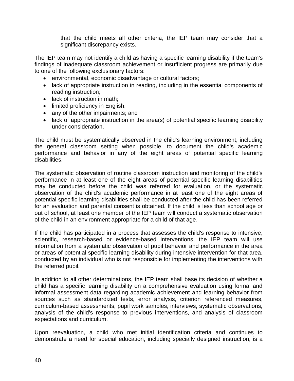that the child meets all other criteria, the IEP team may consider that a significant discrepancy exists.

The IEP team may not identify a child as having a specific learning disability if the team's findings of inadequate classroom achievement or insufficient progress are primarily due to one of the following exclusionary factors:

- environmental, economic disadvantage or cultural factors;
- lack of appropriate instruction in reading, including in the essential components of reading instruction;
- lack of instruction in math;
- limited proficiency in English;
- any of the other impairments; and
- lack of appropriate instruction in the area(s) of potential specific learning disability under consideration.

The child must be systematically observed in the child's learning environment, including the general classroom setting when possible, to document the child's academic performance and behavior in any of the eight areas of potential specific learning disabilities.

The systematic observation of routine classroom instruction and monitoring of the child's performance in at least one of the eight areas of potential specific learning disabilities may be conducted before the child was referred for evaluation, or the systematic observation of the child's academic performance in at least one of the eight areas of potential specific learning disabilities shall be conducted after the child has been referred for an evaluation and parental consent is obtained. If the child is less than school age or out of school, at least one member of the IEP team will conduct a systematic observation of the child in an environment appropriate for a child of that age.

If the child has participated in a process that assesses the child's response to intensive, scientific, research-based or evidence-based interventions, the IEP team will use information from a systematic observation of pupil behavior and performance in the area or areas of potential specific learning disability during intensive intervention for that area, conducted by an individual who is not responsible for implementing the interventions with the referred pupil.

In addition to all other determinations, the IEP team shall base its decision of whether a child has a specific learning disability on a comprehensive evaluation using formal and informal assessment data regarding academic achievement and learning behavior from sources such as standardized tests, error analysis, criterion referenced measures, curriculum-based assessments, pupil work samples, interviews, systematic observations, analysis of the child's response to previous interventions, and analysis of classroom expectations and curriculum.

Upon reevaluation, a child who met initial identification criteria and continues to demonstrate a need for special education, including specially designed instruction, is a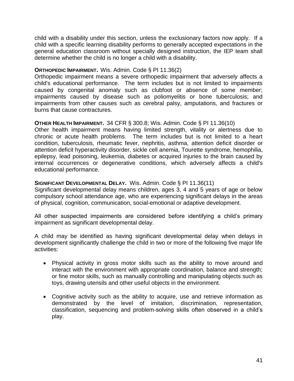child with a disability under this section, unless the exclusionary factors now apply. If a child with a specific learning disability performs to generally accepted expectations in the general education classroom without specially designed instruction, the IEP team shall determine whether the child is no longer a child with a disability.

### **ORTHOPEDIC IMPAIRMENT.** Wis. Admin. Code § PI 11.36(2)

Orthopedic impairment means a severe orthopedic impairment that adversely affects a child's educational performance. The term includes but is not limited to impairments caused by congenital anomaly such as clubfoot or absence of some member; impairments caused by disease such as poliomyelitis or bone tuberculosis; and impairments from other causes such as cerebral palsy, amputations, and fractures or burns that cause contractures.

### **OTHER HEALTH IMPAIRMENT.** 34 CFR § 300.8; Wis. Admin. Code § PI 11.36(10)

Other health impairment means having limited strength, vitality or alertness due to chronic or acute health problems. The term includes but is not limited to a heart condition, tuberculosis, rheumatic fever, nephritis, asthma, attention deficit disorder or attention deficit hyperactivity disorder, sickle cell anemia, Tourette syndrome, hemophilia, epilepsy, lead poisoning, leukemia, diabetes or acquired injuries to the brain caused by internal occurrences or degenerative conditions, which adversely affects a child's educational performance.

### **SIGNIFICANT DEVELOPMENTAL DELAY.** Wis. Admin. Code § PI 11.36(11)

Significant developmental delay means children, ages 3, 4 and 5 years of age or below compulsory school attendance age, who are experiencing significant delays in the areas of physical, cognition, communication, social-emotional or adaptive development.

All other suspected impairments are considered before identifying a child's primary impairment as significant developmental delay.

A child may be identified as having significant developmental delay when delays in development significantly challenge the child in two or more of the following five major life activities:

- Physical activity in gross motor skills such as the ability to move around and interact with the environment with appropriate coordination, balance and strength; or fine motor skills, such as manually controlling and manipulating objects such as toys, drawing utensils and other useful objects in the environment.
- Cognitive activity such as the ability to acquire, use and retrieve information as demonstrated by the level of imitation, discrimination, representation, classification, sequencing and problem-solving skills often observed in a child's play.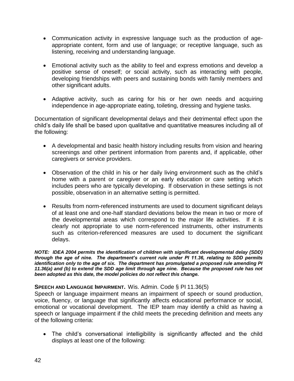- Communication activity in expressive language such as the production of ageappropriate content, form and use of language; or receptive language, such as listening, receiving and understanding language.
- Emotional activity such as the ability to feel and express emotions and develop a positive sense of oneself; or social activity, such as interacting with people, developing friendships with peers and sustaining bonds with family members and other significant adults.
- Adaptive activity, such as caring for his or her own needs and acquiring independence in age-appropriate eating, toileting, dressing and hygiene tasks.

Documentation of significant developmental delays and their detrimental effect upon the child's daily life shall be based upon qualitative and quantitative measures including all of the following:

- A developmental and basic health history including results from vision and hearing screenings and other pertinent information from parents and, if applicable, other caregivers or service providers.
- Observation of the child in his or her daily living environment such as the child's home with a parent or caregiver or an early education or care setting which includes peers who are typically developing. If observation in these settings is not possible, observation in an alternative setting is permitted.
- Results from norm-referenced instruments are used to document significant delays of at least one and one-half standard deviations below the mean in two or more of the developmental areas which correspond to the major life activities. If it is clearly not appropriate to use norm-referenced instruments, other instruments such as criterion-referenced measures are used to document the significant delays.

*NOTE: IDEA 2004 permits the identification of children with significant developmental delay (SDD) through the age of nine. The department's current rule under PI 11.36, relating to SDD permits identification only to the age of six. The department has promulgated a proposed rule amending PI 11.36(a) and (b) to extend the SDD age limit through age nine. Because the proposed rule has not been adopted as this date, the model policies do not reflect this change.* 

## **SPEECH AND LANGUAGE IMPAIRMENT.** Wis. Admin. Code § PI 11.36(5)

Speech or language impairment means an impairment of speech or sound production, voice, fluency, or language that significantly affects educational performance or social, emotional or vocational development. The IEP team may identify a child as having a speech or language impairment if the child meets the preceding definition and meets any of the following criteria:

 The child's conversational intelligibility is significantly affected and the child displays at least one of the following: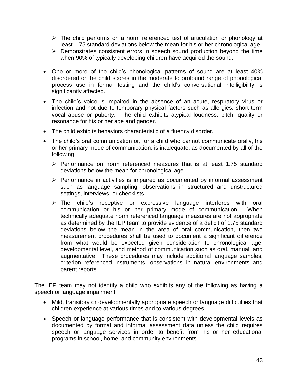- $\triangleright$  The child performs on a norm referenced test of articulation or phonology at least 1.75 standard deviations below the mean for his or her chronological age.
- $\triangleright$  Demonstrates consistent errors in speech sound production beyond the time when 90% of typically developing children have acquired the sound.
- One or more of the child's phonological patterns of sound are at least 40% disordered or the child scores in the moderate to profound range of phonological process use in formal testing and the child's conversational intelligibility is significantly affected.
- The child's voice is impaired in the absence of an acute, respiratory virus or infection and not due to temporary physical factors such as allergies, short term vocal abuse or puberty. The child exhibits atypical loudness, pitch, quality or resonance for his or her age and gender.
- The child exhibits behaviors characteristic of a fluency disorder.
- The child's oral communication or, for a child who cannot communicate orally, his or her primary mode of communication, is inadequate, as documented by all of the following:
	- $\triangleright$  Performance on norm referenced measures that is at least 1.75 standard deviations below the mean for chronological age.
	- $\triangleright$  Performance in activities is impaired as documented by informal assessment such as language sampling, observations in structured and unstructured settings, interviews, or checklists.
	- > The child's receptive or expressive language interferes with oral communication or his or her primary mode of communication. When technically adequate norm referenced language measures are not appropriate as determined by the IEP team to provide evidence of a deficit of 1.75 standard deviations below the mean in the area of oral communication, then two measurement procedures shall be used to document a significant difference from what would be expected given consideration to chronological age, developmental level, and method of communication such as oral, manual, and augmentative. These procedures may include additional language samples, criterion referenced instruments, observations in natural environments and parent reports.

The IEP team may not identify a child who exhibits any of the following as having a speech or language impairment:

- Mild, transitory or developmentally appropriate speech or language difficulties that children experience at various times and to various degrees.
- Speech or language performance that is consistent with developmental levels as documented by formal and informal assessment data unless the child requires speech or language services in order to benefit from his or her educational programs in school, home, and community environments.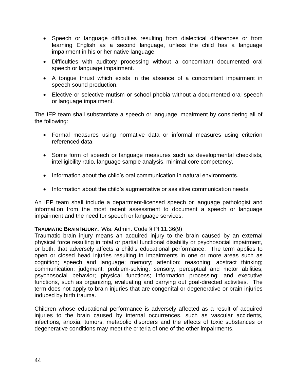- Speech or language difficulties resulting from dialectical differences or from learning English as a second language, unless the child has a language impairment in his or her native language.
- Difficulties with auditory processing without a concomitant documented oral speech or language impairment.
- A tongue thrust which exists in the absence of a concomitant impairment in speech sound production.
- Elective or selective mutism or school phobia without a documented oral speech or language impairment.

The IEP team shall substantiate a speech or language impairment by considering all of the following:

- Formal measures using normative data or informal measures using criterion referenced data.
- Some form of speech or language measures such as developmental checklists, intelligibility ratio, language sample analysis, minimal core competency.
- Information about the child's oral communication in natural environments.
- Information about the child's augmentative or assistive communication needs.

An IEP team shall include a department-licensed speech or language pathologist and information from the most recent assessment to document a speech or language impairment and the need for speech or language services.

### **TRAUMATIC BRAIN INJURY.** Wis. Admin. Code § PI 11.36(9)

Traumatic brain injury means an acquired injury to the brain caused by an external physical force resulting in total or partial functional disability or psychosocial impairment, or both, that adversely affects a child's educational performance. The term applies to open or closed head injuries resulting in impairments in one or more areas such as cognition; speech and language; memory; attention; reasoning; abstract thinking; communication; judgment; problem-solving; sensory, perceptual and motor abilities; psychosocial behavior; physical functions; information processing; and executive functions, such as organizing, evaluating and carrying out goal-directed activities. The term does not apply to brain injuries that are congenital or degenerative or brain injuries induced by birth trauma.

Children whose educational performance is adversely affected as a result of acquired injuries to the brain caused by internal occurrences, such as vascular accidents, infections, anoxia, tumors, metabolic disorders and the effects of toxic substances or degenerative conditions may meet the criteria of one of the other impairments.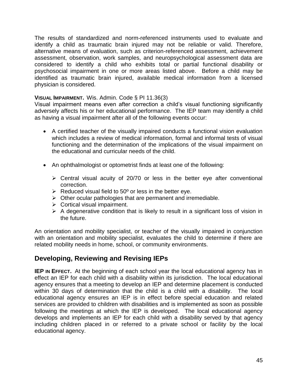The results of standardized and norm-referenced instruments used to evaluate and identify a child as traumatic brain injured may not be reliable or valid. Therefore, alternative means of evaluation, such as criterion-referenced assessment, achievement assessment, observation, work samples, and neuropsychological assessment data are considered to identify a child who exhibits total or partial functional disability or psychosocial impairment in one or more areas listed above. Before a child may be identified as traumatic brain injured, available medical information from a licensed physician is considered.

## **VISUAL IMPAIRMENT.** Wis. Admin. Code § PI 11.36(3)

Visual impairment means even after correction a child's visual functioning significantly adversely affects his or her educational performance. The IEP team may identify a child as having a visual impairment after all of the following events occur:

- A certified teacher of the visually impaired conducts a functional vision evaluation which includes a review of medical information, formal and informal tests of visual functioning and the determination of the implications of the visual impairment on the educational and curricular needs of the child.
- An ophthalmologist or optometrist finds at least one of the following:
	- $\triangleright$  Central visual acuity of 20/70 or less in the better eye after conventional correction.
	- $\triangleright$  Reduced visual field to 50 $^{\circ}$  or less in the better eve.
	- $\triangleright$  Other ocular pathologies that are permanent and irremediable.
	- $\triangleright$  Cortical visual impairment.
	- $\triangleright$  A degenerative condition that is likely to result in a significant loss of vision in the future.

An orientation and mobility specialist, or teacher of the visually impaired in conjunction with an orientation and mobility specialist, evaluates the child to determine if there are related mobility needs in home, school, or community environments.

# **Developing, Reviewing and Revising IEPs**

**IEP** IN **EFFECT**. At the beginning of each school year the local educational agency has in effect an IEP for each child with a disability within its jurisdiction. The local educational agency ensures that a meeting to develop an IEP and determine placement is conducted within 30 days of determination that the child is a child with a disability. The local educational agency ensures an IEP is in effect before special education and related services are provided to children with disabilities and is implemented as soon as possible following the meetings at which the IEP is developed. The local educational agency develops and implements an IEP for each child with a disability served by that agency including children placed in or referred to a private school or facility by the local educational agency.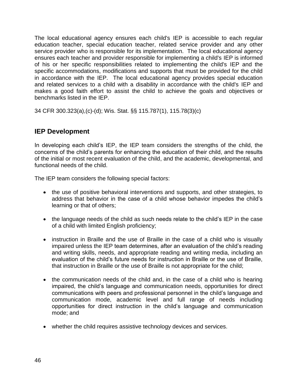The local educational agency ensures each child's IEP is accessible to each regular education teacher, special education teacher, related service provider and any other service provider who is responsible for its implementation. The local educational agency ensures each teacher and provider responsible for implementing a child's IEP is informed of his or her specific responsibilities related to implementing the child's IEP and the specific accommodations, modifications and supports that must be provided for the child in accordance with the IEP. The local educational agency provides special education and related services to a child with a disability in accordance with the child's IEP and makes a good faith effort to assist the child to achieve the goals and objectives or benchmarks listed in the IEP.

34 CFR 300.323(a),(c)-(d); Wis. Stat. §§ 115.787(1), 115.78(3)(c)

# **IEP Development**

In developing each child's IEP, the IEP team considers the strengths of the child, the concerns of the child's parents for enhancing the education of their child, and the results of the initial or most recent evaluation of the child, and the academic, developmental, and functional needs of the child.

The IEP team considers the following special factors:

- the use of positive behavioral interventions and supports, and other strategies, to address that behavior in the case of a child whose behavior impedes the child's learning or that of others;
- the language needs of the child as such needs relate to the child's IEP in the case of a child with limited English proficiency;
- instruction in Braille and the use of Braille in the case of a child who is visually impaired unless the IEP team determines, after an evaluation of the child's reading and writing skills, needs, and appropriate reading and writing media, including an evaluation of the child's future needs for instruction in Braille or the use of Braille, that instruction in Braille or the use of Braille is not appropriate for the child;
- the communication needs of the child and, in the case of a child who is hearing impaired, the child's language and communication needs, opportunities for direct communications with peers and professional personnel in the child's language and communication mode, academic level and full range of needs including opportunities for direct instruction in the child's language and communication mode; and
- whether the child requires assistive technology devices and services.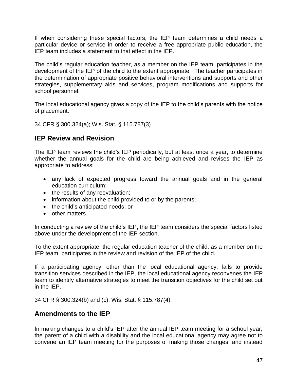If when considering these special factors, the IEP team determines a child needs a particular device or service in order to receive a free appropriate public education, the IEP team includes a statement to that effect in the IEP.

The child's regular education teacher, as a member on the IEP team, participates in the development of the IEP of the child to the extent appropriate. The teacher participates in the determination of appropriate positive behavioral interventions and supports and other strategies, supplementary aids and services, program modifications and supports for school personnel.

The local educational agency gives a copy of the IEP to the child's parents with the notice of placement.

34 CFR § 300.324(a); Wis. Stat. § 115.787(3)

# **IEP Review and Revision**

The IEP team reviews the child's IEP periodically, but at least once a year, to determine whether the annual goals for the child are being achieved and revises the IEP as appropriate to address:

- any lack of expected progress toward the annual goals and in the general education curriculum;
- the results of any reevaluation;
- information about the child provided to or by the parents;
- the child's anticipated needs; or
- other matters.

In conducting a review of the child's IEP, the IEP team considers the special factors listed above under the development of the IEP section.

To the extent appropriate, the regular education teacher of the child, as a member on the IEP team, participates in the review and revision of the IEP of the child.

If a participating agency, other than the local educational agency, fails to provide transition services described in the IEP, the local educational agency reconvenes the IEP team to identify alternative strategies to meet the transition objectives for the child set out in the IEP.

34 CFR § 300.324(b) and (c); Wis. Stat. § 115.787(4)

## **Amendments to the IEP**

In making changes to a child's IEP after the annual IEP team meeting for a school year, the parent of a child with a disability and the local educational agency may agree not to convene an IEP team meeting for the purposes of making those changes, and instead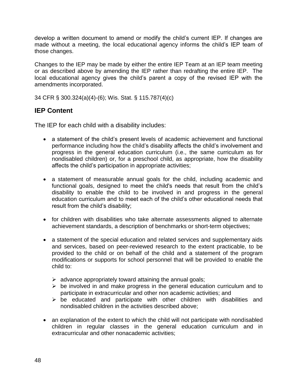develop a written document to amend or modify the child's current IEP. If changes are made without a meeting, the local educational agency informs the child's IEP team of those changes.

Changes to the IEP may be made by either the entire IEP Team at an IEP team meeting or as described above by amending the IEP rather than redrafting the entire IEP. The local educational agency gives the child's parent a copy of the revised IEP with the amendments incorporated.

34 CFR § 300.324(a)(4)-(6); Wis. Stat. § 115.787(4)(c)

# **IEP Content**

The IEP for each child with a disability includes:

- a statement of the child's present levels of academic achievement and functional performance including how the child's disability affects the child's involvement and progress in the general education curriculum (i.e., the same curriculum as for nondisabled children) or, for a preschool child, as appropriate, how the disability affects the child's participation in appropriate activities;
- a statement of measurable annual goals for the child, including academic and functional goals, designed to meet the child's needs that result from the child's disability to enable the child to be involved in and progress in the general education curriculum and to meet each of the child's other educational needs that result from the child's disability;
- for children with disabilities who take alternate assessments aligned to alternate achievement standards, a description of benchmarks or short-term objectives;
- a statement of the special education and related services and supplementary aids and services, based on peer-reviewed research to the extent practicable, to be provided to the child or on behalf of the child and a statement of the program modifications or supports for school personnel that will be provided to enable the child to:
	- $\triangleright$  advance appropriately toward attaining the annual goals;
	- $\triangleright$  be involved in and make progress in the general education curriculum and to participate in extracurricular and other non academic activities; and
	- $\triangleright$  be educated and participate with other children with disabilities and nondisabled children in the activities described above;
- an explanation of the extent to which the child will not participate with nondisabled children in regular classes in the general education curriculum and in extracurricular and other nonacademic activities;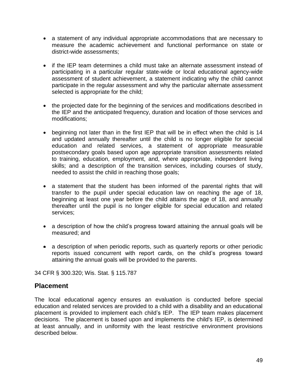- a statement of any individual appropriate accommodations that are necessary to measure the academic achievement and functional performance on state or district-wide assessments;
- if the IEP team determines a child must take an alternate assessment instead of participating in a particular regular state-wide or local educational agency-wide assessment of student achievement, a statement indicating why the child cannot participate in the regular assessment and why the particular alternate assessment selected is appropriate for the child;
- the projected date for the beginning of the services and modifications described in the IEP and the anticipated frequency, duration and location of those services and modifications;
- beginning not later than in the first IEP that will be in effect when the child is 14 and updated annually thereafter until the child is no longer eligible for special education and related services, a statement of appropriate measurable postsecondary goals based upon age appropriate transition assessments related to training, education, employment, and, where appropriate, independent living skills; and a description of the transition services, including courses of study, needed to assist the child in reaching those goals;
- a statement that the student has been informed of the parental rights that will transfer to the pupil under special education law on reaching the age of 18, beginning at least one year before the child attains the age of 18, and annually thereafter until the pupil is no longer eligible for special education and related services;
- a description of how the child's progress toward attaining the annual goals will be measured; and
- a description of when periodic reports, such as quarterly reports or other periodic reports issued concurrent with report cards, on the child's progress toward attaining the annual goals will be provided to the parents.

34 CFR § 300.320; Wis. Stat. § 115.787

## **Placement**

The local educational agency ensures an evaluation is conducted before special education and related services are provided to a child with a disability and an educational placement is provided to implement each child's IEP. The IEP team makes placement decisions. The placement is based upon and implements the child's IEP, is determined at least annually, and in uniformity with the least restrictive environment provisions described below.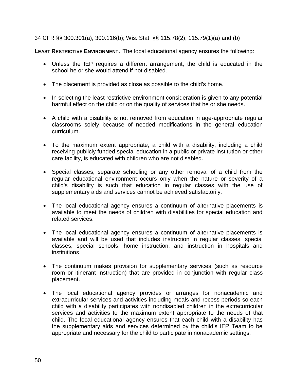### 34 CFR §§ 300.301(a), 300.116(b); Wis. Stat. §§ 115.78(2), 115.79(1)(a) and (b)

**LEAST RESTRICTIVE ENVIRONMENT.** The local educational agency ensures the following:

- Unless the IEP requires a different arrangement, the child is educated in the school he or she would attend if not disabled.
- The placement is provided as close as possible to the child's home.
- In selecting the least restrictive environment consideration is given to any potential harmful effect on the child or on the quality of services that he or she needs.
- A child with a disability is not removed from education in age-appropriate regular classrooms solely because of needed modifications in the general education curriculum.
- To the maximum extent appropriate, a child with a disability, including a child receiving publicly funded special education in a public or private institution or other care facility, is educated with children who are not disabled.
- Special classes, separate schooling or any other removal of a child from the regular educational environment occurs only when the nature or severity of a child's disability is such that education in regular classes with the use of supplementary aids and services cannot be achieved satisfactorily.
- The local educational agency ensures a continuum of alternative placements is available to meet the needs of children with disabilities for special education and related services.
- The local educational agency ensures a continuum of alternative placements is available and will be used that includes instruction in regular classes, special classes, special schools, home instruction, and instruction in hospitals and institutions.
- The continuum makes provision for supplementary services (such as resource room or itinerant instruction) that are provided in conjunction with regular class placement.
- The local educational agency provides or arranges for nonacademic and extracurricular services and activities including meals and recess periods so each child with a disability participates with nondisabled children in the extracurricular services and activities to the maximum extent appropriate to the needs of that child. The local educational agency ensures that each child with a disability has the supplementary aids and services determined by the child's IEP Team to be appropriate and necessary for the child to participate in nonacademic settings.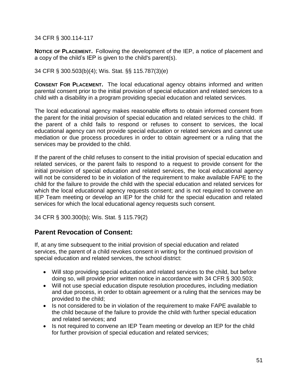34 CFR § 300.114-117

**NOTICE OF PLACEMENT.** Following the development of the IEP, a notice of placement and a copy of the child's IEP is given to the child's parent(s).

34 CFR § 300.503(b)(4); Wis. Stat. §§ 115.787(3)(e)

**CONSENT FOR PLACEMENT.** The local educational agency obtains informed and written parental consent prior to the initial provision of special education and related services to a child with a disability in a program providing special education and related services.

The local educational agency makes reasonable efforts to obtain informed consent from the parent for the initial provision of special education and related services to the child. If the parent of a child fails to respond or refuses to consent to services, the local educational agency can not provide special education or related services and cannot use mediation or due process procedures in order to obtain agreement or a ruling that the services may be provided to the child.

If the parent of the child refuses to consent to the initial provision of special education and related services, or the parent fails to respond to a request to provide consent for the initial provision of special education and related services, the local educational agency will not be considered to be in violation of the requirement to make available FAPE to the child for the failure to provide the child with the special education and related services for which the local educational agency requests consent; and is not required to convene an IEP Team meeting or develop an IEP for the child for the special education and related services for which the local educational agency requests such consent.

34 CFR § 300.300(b); Wis. Stat. § 115.79(2)

# **Parent Revocation of Consent:**

If, at any time subsequent to the initial provision of special education and related services, the parent of a child revokes consent in writing for the continued provision of special education and related services, the school district:

- Will stop providing special education and related services to the child, but before doing so, will provide prior written notice in accordance with 34 CFR § 300.503;
- Will not use special education dispute resolution procedures, including mediation and due process, in order to obtain agreement or a ruling that the services may be provided to the child;
- Is not considered to be in violation of the requirement to make FAPE available to the child because of the failure to provide the child with further special education and related services; and
- Is not required to convene an IEP Team meeting or develop an IEP for the child for further provision of special education and related services;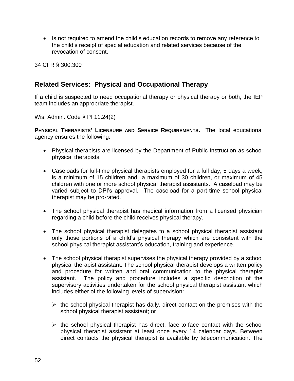• Is not required to amend the child's education records to remove any reference to the child's receipt of special education and related services because of the revocation of consent.

34 CFR § 300.300

# **Related Services: Physical and Occupational Therapy**

If a child is suspected to need occupational therapy or physical therapy or both, the IEP team includes an appropriate therapist.

Wis. Admin. Code § PI 11.24(2)

**PHYSICAL THERAPISTS' LICENSURE AND SERVICE REQUIREMENTS.** The local educational agency ensures the following:

- Physical therapists are licensed by the Department of Public Instruction as school physical therapists.
- Caseloads for full-time physical therapists employed for a full day, 5 days a week, is a minimum of 15 children and a maximum of 30 children, or maximum of 45 children with one or more school physical therapist assistants. A caseload may be varied subject to DPI's approval. The caseload for a part-time school physical therapist may be pro-rated.
- The school physical therapist has medical information from a licensed physician regarding a child before the child receives physical therapy.
- The school physical therapist delegates to a school physical therapist assistant only those portions of a child's physical therapy which are consistent with the school physical therapist assistant's education, training and experience.
- The school physical therapist supervises the physical therapy provided by a school physical therapist assistant. The school physical therapist develops a written policy and procedure for written and oral communication to the physical therapist assistant. The policy and procedure includes a specific description of the supervisory activities undertaken for the school physical therapist assistant which includes either of the following levels of supervision:
	- $\triangleright$  the school physical therapist has daily, direct contact on the premises with the school physical therapist assistant; or
	- $\triangleright$  the school physical therapist has direct, face-to-face contact with the school physical therapist assistant at least once every 14 calendar days. Between direct contacts the physical therapist is available by telecommunication. The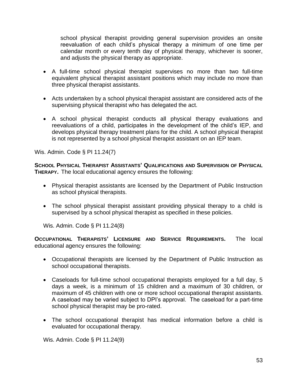school physical therapist providing general supervision provides an onsite reevaluation of each child's physical therapy a minimum of one time per calendar month or every tenth day of physical therapy, whichever is sooner, and adjusts the physical therapy as appropriate.

- A full-time school physical therapist supervises no more than two full-time equivalent physical therapist assistant positions which may include no more than three physical therapist assistants.
- Acts undertaken by a school physical therapist assistant are considered acts of the supervising physical therapist who has delegated the act.
- A school physical therapist conducts all physical therapy evaluations and reevaluations of a child, participates in the development of the child's IEP, and develops physical therapy treatment plans for the child. A school physical therapist is not represented by a school physical therapist assistant on an IEP team.

Wis. Admin. Code § PI 11.24(7)

**SCHOOL PHYSICAL THERAPIST ASSISTANTS' QUALIFICATIONS AND SUPERVISION OF PHYSICAL THERAPY.** The local educational agency ensures the following:

- Physical therapist assistants are licensed by the Department of Public Instruction as school physical therapists.
- The school physical therapist assistant providing physical therapy to a child is supervised by a school physical therapist as specified in these policies.

Wis. Admin. Code § PI 11.24(8)

**OCCUPATIONAL THERAPISTS' LICENSURE AND SERVICE REQUIREMENTS.** The local educational agency ensures the following:

- Occupational therapists are licensed by the Department of Public Instruction as school occupational therapists.
- Caseloads for full-time school occupational therapists employed for a full day, 5 days a week, is a minimum of 15 children and a maximum of 30 children, or maximum of 45 children with one or more school occupational therapist assistants. A caseload may be varied subject to DPI's approval. The caseload for a part-time school physical therapist may be pro-rated.
- The school occupational therapist has medical information before a child is evaluated for occupational therapy.

Wis. Admin. Code § PI 11.24(9)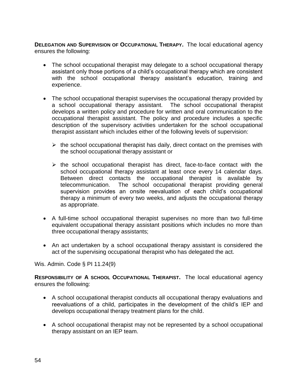**DELEGATION AND SUPERVISION OF OCCUPATIONAL THERAPY.** The local educational agency ensures the following:

- The school occupational therapist may delegate to a school occupational therapy assistant only those portions of a child's occupational therapy which are consistent with the school occupational therapy assistant's education, training and experience.
- The school occupational therapist supervises the occupational therapy provided by a school occupational therapy assistant. The school occupational therapist develops a written policy and procedure for written and oral communication to the occupational therapist assistant. The policy and procedure includes a specific description of the supervisory activities undertaken for the school occupational therapist assistant which includes either of the following levels of supervision:
	- $\triangleright$  the school occupational therapist has daily, direct contact on the premises with the school occupational therapy assistant or
	- $\triangleright$  the school occupational therapist has direct, face-to-face contact with the school occupational therapy assistant at least once every 14 calendar days. Between direct contacts the occupational therapist is available by telecommunication. The school occupational therapist providing general supervision provides an onsite reevaluation of each child's occupational therapy a minimum of every two weeks, and adjusts the occupational therapy as appropriate.
- A full-time school occupational therapist supervises no more than two full-time equivalent occupational therapy assistant positions which includes no more than three occupational therapy assistants;
- An act undertaken by a school occupational therapy assistant is considered the act of the supervising occupational therapist who has delegated the act.

Wis. Admin. Code § PI 11.24(9)

**RESPONSIBILITY OF A SCHOOL OCCUPATIONAL THERAPIST.** The local educational agency ensures the following:

- A school occupational therapist conducts all occupational therapy evaluations and reevaluations of a child, participates in the development of the child's IEP and develops occupational therapy treatment plans for the child.
- A school occupational therapist may not be represented by a school occupational therapy assistant on an IEP team.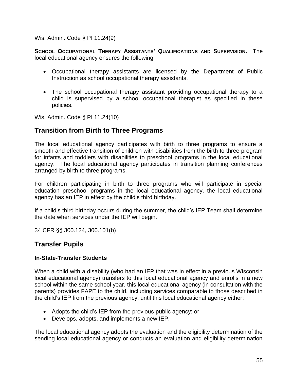Wis. Admin. Code § PI 11.24(9)

**SCHOOL OCCUPATIONAL THERAPY ASSISTANTS' QUALIFICATIONS AND SUPERVISION.** The local educational agency ensures the following:

- Occupational therapy assistants are licensed by the Department of Public Instruction as school occupational therapy assistants.
- The school occupational therapy assistant providing occupational therapy to a child is supervised by a school occupational therapist as specified in these policies.

Wis. Admin. Code § PI 11.24(10)

## **Transition from Birth to Three Programs**

The local educational agency participates with birth to three programs to ensure a smooth and effective transition of children with disabilities from the birth to three program for infants and toddlers with disabilities to preschool programs in the local educational agency. The local educational agency participates in transition planning conferences arranged by birth to three programs.

For children participating in birth to three programs who will participate in special education preschool programs in the local educational agency, the local educational agency has an IEP in effect by the child's third birthday.

If a child's third birthday occurs during the summer, the child's IEP Team shall determine the date when services under the IEP will begin.

34 CFR §§ 300.124, 300.101(b)

## **Transfer Pupils**

### **In-State-Transfer Students**

When a child with a disability (who had an IEP that was in effect in a previous Wisconsin local educational agency) transfers to this local educational agency and enrolls in a new school within the same school year, this local educational agency (in consultation with the parents) provides FAPE to the child, including services comparable to those described in the child's IEP from the previous agency, until this local educational agency either:

- Adopts the child's IEP from the previous public agency; or
- Develops, adopts, and implements a new IEP.

The local educational agency adopts the evaluation and the eligibility determination of the sending local educational agency or conducts an evaluation and eligibility determination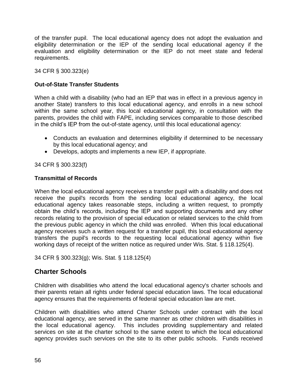of the transfer pupil. The local educational agency does not adopt the evaluation and eligibility determination or the IEP of the sending local educational agency if the evaluation and eligibility determination or the IEP do not meet state and federal requirements.

34 CFR § 300.323(e)

## **Out-of-State Transfer Students**

When a child with a disability (who had an IEP that was in effect in a previous agency in another State) transfers to this local educational agency, and enrolls in a new school within the same school year, this local educational agency, in consultation with the parents, provides the child with FAPE, including services comparable to those described in the child's IEP from the out-of-state agency, until this local educational agency:

- Conducts an evaluation and determines eligibility if determined to be necessary by this local educational agency; and
- Develops, adopts and implements a new IEP, if appropriate.

34 CFR § 300.323(f)

## **Transmittal of Records**

When the local educational agency receives a transfer pupil with a disability and does not receive the pupil's records from the sending local educational agency, the local educational agency takes reasonable steps, including a written request, to promptly obtain the child's records, including the IEP and supporting documents and any other records relating to the provision of special education or related services to the child from the previous public agency in which the child was enrolled. When this local educational agency receives such a written request for a transfer pupil, this local educational agency transfers the pupil's records to the requesting local educational agency within five working days of receipt of the written notice as required under Wis. Stat. § 118.125(4).

34 CFR § 300.323(g); Wis. Stat. § 118.125(4)

# **Charter Schools**

Children with disabilities who attend the local educational agency's charter schools and their parents retain all rights under federal special education laws. The local educational agency ensures that the requirements of federal special education law are met.

Children with disabilities who attend Charter Schools under contract with the local educational agency, are served in the same manner as other children with disabilities in the local educational agency. This includes providing supplementary and related services on site at the charter school to the same extent to which the local educational agency provides such services on the site to its other public schools. Funds received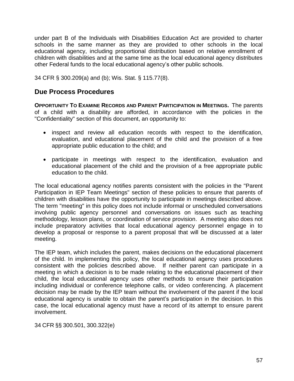under part B of the Individuals with Disabilities Education Act are provided to charter schools in the same manner as they are provided to other schools in the local educational agency, including proportional distribution based on relative enrollment of children with disabilities and at the same time as the local educational agency distributes other Federal funds to the local educational agency's other public schools.

34 CFR § 300.209(a) and (b); Wis. Stat. § 115.77(8).

# **Due Process Procedures**

**OPPORTUNITY TO EXAMINE RECORDS AND PARENT PARTICIPATION IN MEETINGS.** The parents of a child with a disability are afforded, in accordance with the policies in the "Confidentiality" section of this document, an opportunity to:

- inspect and review all education records with respect to the identification, evaluation, and educational placement of the child and the provision of a free appropriate public education to the child; and
- participate in meetings with respect to the identification, evaluation and educational placement of the child and the provision of a free appropriate public education to the child.

The local educational agency notifies parents consistent with the policies in the "Parent Participation in IEP Team Meetings" section of these policies to ensure that parents of children with disabilities have the opportunity to participate in meetings described above. The term "meeting" in this policy does not include informal or unscheduled conversations involving public agency personnel and conversations on issues such as teaching methodology, lesson plans, or coordination of service provision. A meeting also does not include preparatory activities that local educational agency personnel engage in to develop a proposal or response to a parent proposal that will be discussed at a later meeting.

The IEP team, which includes the parent, makes decisions on the educational placement of the child. In implementing this policy, the local educational agency uses procedures consistent with the policies described above. If neither parent can participate in a meeting in which a decision is to be made relating to the educational placement of their child, the local educational agency uses other methods to ensure their participation including individual or conference telephone calls, or video conferencing. A placement decision may be made by the IEP team without the involvement of the parent if the local educational agency is unable to obtain the parent's participation in the decision. In this case, the local educational agency must have a record of its attempt to ensure parent involvement.

34 CFR §§ 300.501, 300.322(e)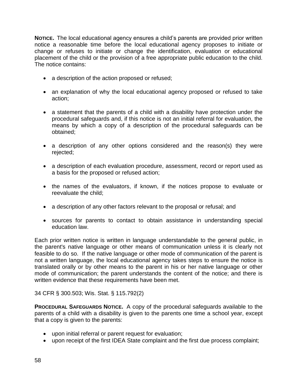**NOTICE.** The local educational agency ensures a child's parents are provided prior written notice a reasonable time before the local educational agency proposes to initiate or change or refuses to initiate or change the identification, evaluation or educational placement of the child or the provision of a free appropriate public education to the child. The notice contains:

- a description of the action proposed or refused;
- an explanation of why the local educational agency proposed or refused to take action;
- a statement that the parents of a child with a disability have protection under the procedural safeguards and, if this notice is not an initial referral for evaluation, the means by which a copy of a description of the procedural safeguards can be obtained;
- a description of any other options considered and the reason(s) they were rejected;
- a description of each evaluation procedure, assessment, record or report used as a basis for the proposed or refused action;
- the names of the evaluators, if known, if the notices propose to evaluate or reevaluate the child;
- a description of any other factors relevant to the proposal or refusal; and
- sources for parents to contact to obtain assistance in understanding special education law.

Each prior written notice is written in language understandable to the general public, in the parent's native language or other means of communication unless it is clearly not feasible to do so. If the native language or other mode of communication of the parent is not a written language, the local educational agency takes steps to ensure the notice is translated orally or by other means to the parent in his or her native language or other mode of communication; the parent understands the content of the notice; and there is written evidence that these requirements have been met.

34 CFR § 300.503; Wis. Stat. § 115.792(2)

**PROCEDURAL SAFEGUARDS NOTICE.** A copy of the procedural safeguards available to the parents of a child with a disability is given to the parents one time a school year, except that a copy is given to the parents:

- upon initial referral or parent request for evaluation;
- upon receipt of the first IDEA State complaint and the first due process complaint;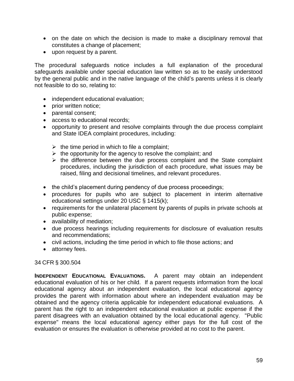- on the date on which the decision is made to make a disciplinary removal that constitutes a change of placement;
- upon request by a parent.

The procedural safeguards notice includes a full explanation of the procedural safeguards available under special education law written so as to be easily understood by the general public and in the native language of the child's parents unless it is clearly not feasible to do so, relating to:

- independent educational evaluation;
- prior written notice;
- parental consent;
- access to educational records:
- opportunity to present and resolve complaints through the due process complaint and State IDEA complaint procedures, including:
	- $\triangleright$  the time period in which to file a complaint;
	- $\triangleright$  the opportunity for the agency to resolve the complaint; and
	- $\triangleright$  the difference between the due process complaint and the State complaint procedures, including the jurisdiction of each procedure, what issues may be raised, filing and decisional timelines, and relevant procedures.
- the child's placement during pendency of due process proceedings;
- procedures for pupils who are subject to placement in interim alternative educational settings under 20 USC § 1415(k);
- requirements for the unilateral placement by parents of pupils in private schools at public expense;
- availability of mediation;
- due process hearings including requirements for disclosure of evaluation results and recommendations;
- civil actions, including the time period in which to file those actions; and
- attorney fees.

### 34 CFR § 300.504

**INDEPENDENT EDUCATIONAL EVALUATIONS.** A parent may obtain an independent educational evaluation of his or her child. If a parent requests information from the local educational agency about an independent evaluation, the local educational agency provides the parent with information about where an independent evaluation may be obtained and the agency criteria applicable for independent educational evaluations. A parent has the right to an independent educational evaluation at public expense if the parent disagrees with an evaluation obtained by the local educational agency. "Public expense" means the local educational agency either pays for the full cost of the evaluation or ensures the evaluation is otherwise provided at no cost to the parent.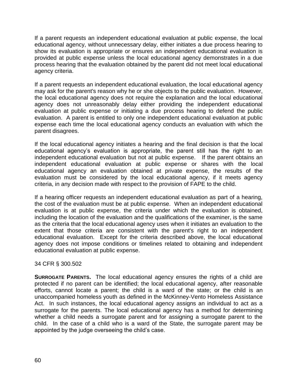If a parent requests an independent educational evaluation at public expense, the local educational agency, without unnecessary delay, either initiates a due process hearing to show its evaluation is appropriate or ensures an independent educational evaluation is provided at public expense unless the local educational agency demonstrates in a due process hearing that the evaluation obtained by the parent did not meet local educational agency criteria.

If a parent requests an independent educational evaluation, the local educational agency may ask for the parent's reason why he or she objects to the public evaluation. However, the local educational agency does not require the explanation and the local educational agency does not unreasonably delay either providing the independent educational evaluation at public expense or initiating a due process hearing to defend the public evaluation. A parent is entitled to only one independent educational evaluation at public expense each time the local educational agency conducts an evaluation with which the parent disagrees.

If the local educational agency initiates a hearing and the final decision is that the local educational agency's evaluation is appropriate, the parent still has the right to an independent educational evaluation but not at public expense. If the parent obtains an independent educational evaluation at public expense or shares with the local educational agency an evaluation obtained at private expense, the results of the evaluation must be considered by the local educational agency, if it meets agency criteria, in any decision made with respect to the provision of FAPE to the child.

If a hearing officer requests an independent educational evaluation as part of a hearing, the cost of the evaluation must be at public expense. When an independent educational evaluation is at public expense, the criteria under which the evaluation is obtained, including the location of the evaluation and the qualifications of the examiner, is the same as the criteria that the local educational agency uses when it initiates an evaluation to the extent that those criteria are consistent with the parent's right to an independent educational evaluation. Except for the criteria described above, the local educational agency does not impose conditions or timelines related to obtaining and independent educational evaluation at public expense.

### 34 CFR § 300.502

**SURROGATE PARENTS.** The local educational agency ensures the rights of a child are protected if no parent can be identified; the local educational agency, after reasonable efforts, cannot locate a parent; the child is a ward of the state; or the child is an unaccompanied homeless youth as defined in the McKinney-Vento Homeless Assistance Act. In such instances, the local educational agency assigns an individual to act as a surrogate for the parents. The local educational agency has a method for determining whether a child needs a surrogate parent and for assigning a surrogate parent to the child. In the case of a child who is a ward of the State, the surrogate parent may be appointed by the judge overseeing the child's case.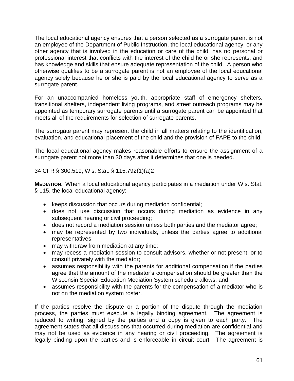The local educational agency ensures that a person selected as a surrogate parent is not an employee of the Department of Public Instruction, the local educational agency, or any other agency that is involved in the education or care of the child; has no personal or professional interest that conflicts with the interest of the child he or she represents; and has knowledge and skills that ensure adequate representation of the child. A person who otherwise qualifies to be a surrogate parent is not an employee of the local educational agency solely because he or she is paid by the local educational agency to serve as a surrogate parent.

For an unaccompanied homeless youth, appropriate staff of emergency shelters, transitional shelters, independent living programs, and street outreach programs may be appointed as temporary surrogate parents until a surrogate parent can be appointed that meets all of the requirements for selection of surrogate parents.

The surrogate parent may represent the child in all matters relating to the identification, evaluation, and educational placement of the child and the provision of FAPE to the child.

The local educational agency makes reasonable efforts to ensure the assignment of a surrogate parent not more than 30 days after it determines that one is needed.

34 CFR § 300.519; Wis. Stat. § 115.792(1)(a)2

**MEDIATION.** When a local educational agency participates in a mediation under Wis. Stat. § 115, the local educational agency:

- keeps discussion that occurs during mediation confidential;
- does not use discussion that occurs during mediation as evidence in any subsequent hearing or civil proceeding;
- does not record a mediation session unless both parties and the mediator agree;
- may be represented by two individuals, unless the parties agree to additional representatives;
- may withdraw from mediation at any time;
- may recess a mediation session to consult advisors, whether or not present, or to consult privately with the mediator;
- assumes responsibility with the parents for additional compensation if the parties agree that the amount of the mediator's compensation should be greater than the Wisconsin Special Education Mediation System schedule allows; and
- assumes responsibility with the parents for the compensation of a mediator who is not on the mediation system roster.

If the parties resolve the dispute or a portion of the dispute through the mediation process, the parties must execute a legally binding agreement. The agreement is reduced to writing, signed by the parties and a copy is given to each party. The agreement states that all discussions that occurred during mediation are confidential and may not be used as evidence in any hearing or civil proceeding. The agreement is legally binding upon the parties and is enforceable in circuit court. The agreement is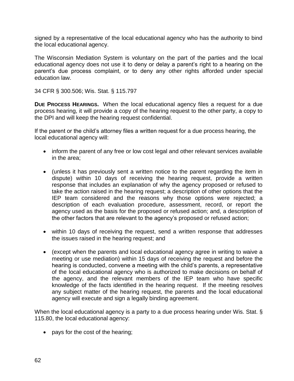signed by a representative of the local educational agency who has the authority to bind the local educational agency.

The Wisconsin Mediation System is voluntary on the part of the parties and the local educational agency does not use it to deny or delay a parent's right to a hearing on the parent's due process complaint, or to deny any other rights afforded under special education law.

### 34 CFR § 300.506; Wis. Stat. § 115.797

**DUE PROCESS HEARINGS.** When the local educational agency files a request for a due process hearing, it will provide a copy of the hearing request to the other party, a copy to the DPI and will keep the hearing request confidential.

If the parent or the child's attorney files a written request for a due process hearing, the local educational agency will:

- inform the parent of any free or low cost legal and other relevant services available in the area;
- (unless it has previously sent a written notice to the parent regarding the item in dispute) within 10 days of receiving the hearing request, provide a written response that includes an explanation of why the agency proposed or refused to take the action raised in the hearing request; a description of other options that the IEP team considered and the reasons why those options were rejected; a description of each evaluation procedure, assessment, record, or report the agency used as the basis for the proposed or refused action; and, a description of the other factors that are relevant to the agency's proposed or refused action;
- within 10 days of receiving the request, send a written response that addresses the issues raised in the hearing request; and
- (except when the parents and local educational agency agree in writing to waive a meeting or use mediation) within 15 days of receiving the request and before the hearing is conducted, convene a meeting with the child's parents, a representative of the local educational agency who is authorized to make decisions on behalf of the agency, and the relevant members of the IEP team who have specific knowledge of the facts identified in the hearing request. If the meeting resolves any subject matter of the hearing request, the parents and the local educational agency will execute and sign a legally binding agreement.

When the local educational agency is a party to a due process hearing under Wis. Stat. § 115.80, the local educational agency:

• pays for the cost of the hearing;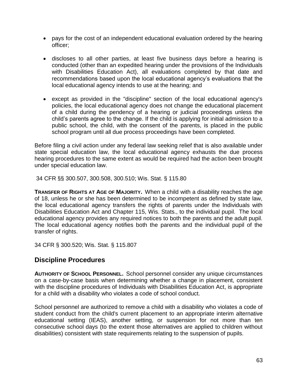- pays for the cost of an independent educational evaluation ordered by the hearing officer;
- discloses to all other parties, at least five business days before a hearing is conducted (other than an expedited hearing under the provisions of the Individuals with Disabilities Education Act), all evaluations completed by that date and recommendations based upon the local educational agency's evaluations that the local educational agency intends to use at the hearing; and
- except as provided in the "discipline" section of the local educational agency's policies, the local educational agency does not change the educational placement of a child during the pendency of a hearing or judicial proceedings unless the child's parents agree to the change. If the child is applying for initial admission to a public school, the child, with the consent of the parents, is placed in the public school program until all due process proceedings have been completed.

Before filing a civil action under any federal law seeking relief that is also available under state special education law, the local educational agency exhausts the due process hearing procedures to the same extent as would be required had the action been brought under special education law.

34 CFR §§ 300.507, 300.508, 300.510; Wis. Stat. § 115.80

**TRANSFER OF RIGHTS AT AGE OF MAJORITY.** When a child with a disability reaches the age of 18, unless he or she has been determined to be incompetent as defined by state law, the local educational agency transfers the rights of parents under the Individuals with Disabilities Education Act and Chapter 115, Wis. Stats., to the individual pupil. The local educational agency provides any required notices to both the parents and the adult pupil. The local educational agency notifies both the parents and the individual pupil of the transfer of rights.

34 CFR § 300.520; Wis. Stat. § 115.807

# **Discipline Procedures**

**AUTHORITY OF SCHOOL PERSONNEL.** School personnel consider any unique circumstances on a case-by-case basis when determining whether a change in placement, consistent with the discipline procedures of Individuals with Disabilities Education Act, is appropriate for a child with a disability who violates a code of school conduct.

School personnel are authorized to remove a child with a disability who violates a code of student conduct from the child's current placement to an appropriate interim alternative educational setting (IEAS), another setting, or suspension for not more than ten consecutive school days (to the extent those alternatives are applied to children without disabilities) consistent with state requirements relating to the suspension of pupils.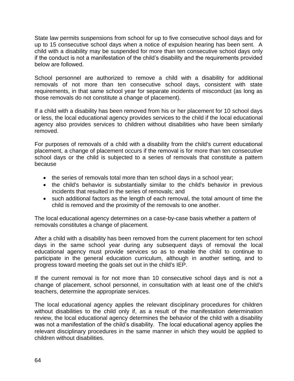State law permits suspensions from school for up to five consecutive school days and for up to 15 consecutive school days when a notice of expulsion hearing has been sent. A child with a disability may be suspended for more than ten consecutive school days only if the conduct is not a manifestation of the child's disability and the requirements provided below are followed.

School personnel are authorized to remove a child with a disability for additional removals of not more than ten consecutive school days, consistent with state requirements, in that same school year for separate incidents of misconduct (as long as those removals do not constitute a change of placement).

If a child with a disability has been removed from his or her placement for 10 school days or less, the local educational agency provides services to the child if the local educational agency also provides services to children without disabilities who have been similarly removed.

For purposes of removals of a child with a disability from the child's current educational placement, a change of placement occurs if the removal is for more than ten consecutive school days or the child is subjected to a series of removals that constitute a pattern because

- the series of removals total more than ten school days in a school year;
- the child's behavior is substantially similar to the child's behavior in previous incidents that resulted in the series of removals; and
- such additional factors as the length of each removal, the total amount of time the child is removed and the proximity of the removals to one another.

The local educational agency determines on a case-by-case basis whether a pattern of removals constitutes a change of placement.

After a child with a disability has been removed from the current placement for ten school days in the same school year during any subsequent days of removal the local educational agency must provide services so as to enable the child to continue to participate in the general education curriculum, although in another setting, and to progress toward meeting the goals set out in the child's IEP.

If the current removal is for not more than 10 consecutive school days and is not a change of placement, school personnel, in consultation with at least one of the child's teachers, determine the appropriate services.

The local educational agency applies the relevant disciplinary procedures for children without disabilities to the child only if, as a result of the manifestation determination review, the local educational agency determines the behavior of the child with a disability was not a manifestation of the child's disability. The local educational agency applies the relevant disciplinary procedures in the same manner in which they would be applied to children without disabilities.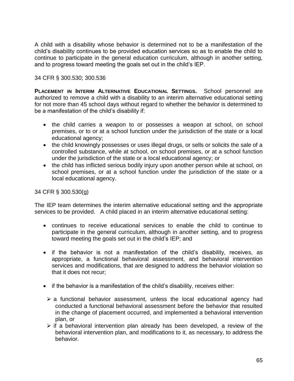A child with a disability whose behavior is determined not to be a manifestation of the child's disability continues to be provided education services so as to enable the child to continue to participate in the general education curriculum, although in another setting, and to progress toward meeting the goals set out in the child's IEP.

## 34 CFR § 300.530; 300.536

**PLACEMENT IN INTERIM ALTERNATIVE EDUCATIONAL SETTINGS.** School personnel are authorized to remove a child with a disability to an interim alternative educational setting for not more than 45 school days without regard to whether the behavior is determined to be a manifestation of the child's disability if:

- the child carries a weapon to or possesses a weapon at school, on school premises, or to or at a school function under the jurisdiction of the state or a local educational agency;
- the child knowingly possesses or uses illegal drugs, or sells or solicits the sale of a controlled substance, while at school, on school premises, or at a school function under the jurisdiction of the state or a local educational agency; or
- the child has inflicted serious bodily injury upon another person while at school, on school premises, or at a school function under the jurisdiction of the state or a local educational agency.

### 34 CFR § 300.530(g)

The IEP team determines the interim alternative educational setting and the appropriate services to be provided. A child placed in an interim alternative educational setting:

- continues to receive educational services to enable the child to continue to participate in the general curriculum, although in another setting, and to progress toward meeting the goals set out in the child's IEP; and
- if the behavior is not a manifestation of the child's disability, receives, as appropriate, a functional behavioral assessment, and behavioral intervention services and modifications, that are designed to address the behavior violation so that it does not recur;
- if the behavior is a manifestation of the child's disability, receives either:
	- $\triangleright$  a functional behavior assessment, unless the local educational agency had conducted a functional behavioral assessment before the behavior that resulted in the change of placement occurred, and implemented a behavioral intervention plan, or
	- $\triangleright$  if a behavioral intervention plan already has been developed, a review of the behavioral intervention plan, and modifications to it, as necessary, to address the behavior.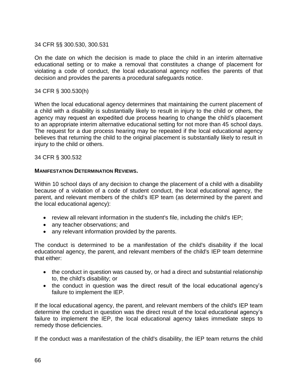## 34 CFR §§ 300.530, 300.531

On the date on which the decision is made to place the child in an interim alternative educational setting or to make a removal that constitutes a change of placement for violating a code of conduct, the local educational agency notifies the parents of that decision and provides the parents a procedural safeguards notice.

### 34 CFR § 300.530(h)

When the local educational agency determines that maintaining the current placement of a child with a disability is substantially likely to result in injury to the child or others, the agency may request an expedited due process hearing to change the child's placement to an appropriate interim alternative educational setting for not more than 45 school days. The request for a due process hearing may be repeated if the local educational agency believes that returning the child to the original placement is substantially likely to result in injury to the child or others.

### 34 CFR § 300.532

### **MANIFESTATION DETERMINATION REVIEWS.**

Within 10 school days of any decision to change the placement of a child with a disability because of a violation of a code of student conduct, the local educational agency, the parent, and relevant members of the child's IEP team (as determined by the parent and the local educational agency):

- review all relevant information in the student's file, including the child's IEP;
- any teacher observations; and
- any relevant information provided by the parents.

The conduct is determined to be a manifestation of the child's disability if the local educational agency, the parent, and relevant members of the child's IEP team determine that either:

- the conduct in question was caused by, or had a direct and substantial relationship to, the child's disability; or
- the conduct in question was the direct result of the local educational agency's failure to implement the IEP.

If the local educational agency, the parent, and relevant members of the child's IEP team determine the conduct in question was the direct result of the local educational agency's failure to implement the IEP, the local educational agency takes immediate steps to remedy those deficiencies.

If the conduct was a manifestation of the child's disability, the IEP team returns the child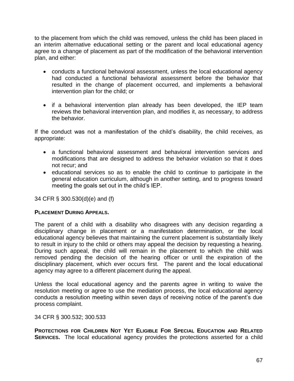to the placement from which the child was removed, unless the child has been placed in an interim alternative educational setting or the parent and local educational agency agree to a change of placement as part of the modification of the behavioral intervention plan, and either:

- conducts a functional behavioral assessment, unless the local educational agency had conducted a functional behavioral assessment before the behavior that resulted in the change of placement occurred, and implements a behavioral intervention plan for the child; or
- if a behavioral intervention plan already has been developed, the IEP team reviews the behavioral intervention plan, and modifies it, as necessary, to address the behavior.

If the conduct was not a manifestation of the child's disability, the child receives, as appropriate:

- a functional behavioral assessment and behavioral intervention services and modifications that are designed to address the behavior violation so that it does not recur; and
- educational services so as to enable the child to continue to participate in the general education curriculum, although in another setting, and to progress toward meeting the goals set out in the child's IEP.

34 CFR § 300.530(d)(e) and (f)

### **PLACEMENT DURING APPEALS.**

The parent of a child with a disability who disagrees with any decision regarding a disciplinary change in placement or a manifestation determination, or the local educational agency believes that maintaining the current placement is substantially likely to result in injury to the child or others may appeal the decision by requesting a hearing. During such appeal, the child will remain in the placement to which the child was removed pending the decision of the hearing officer or until the expiration of the disciplinary placement, which ever occurs first. The parent and the local educational agency may agree to a different placement during the appeal.

Unless the local educational agency and the parents agree in writing to waive the resolution meeting or agree to use the mediation process, the local educational agency conducts a resolution meeting within seven days of receiving notice of the parent's due process complaint.

### 34 CFR § 300.532; 300.533

**PROTECTIONS FOR CHILDREN NOT YET ELIGIBLE FOR SPECIAL EDUCATION AND RELATED SERVICES.** The local educational agency provides the protections asserted for a child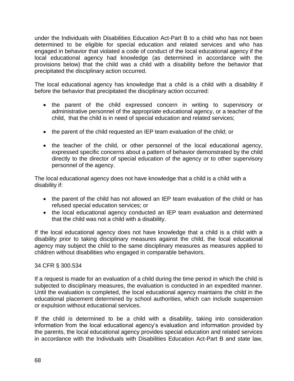under the Individuals with Disabilities Education Act-Part B to a child who has not been determined to be eligible for special education and related services and who has engaged in behavior that violated a code of conduct of the local educational agency if the local educational agency had knowledge (as determined in accordance with the provisions below) that the child was a child with a disability before the behavior that precipitated the disciplinary action occurred.

The local educational agency has knowledge that a child is a child with a disability if before the behavior that precipitated the disciplinary action occurred:

- the parent of the child expressed concern in writing to supervisory or administrative personnel of the appropriate educational agency, or a teacher of the child, that the child is in need of special education and related services;
- the parent of the child requested an IEP team evaluation of the child; or
- the teacher of the child, or other personnel of the local educational agency, expressed specific concerns about a pattern of behavior demonstrated by the child directly to the director of special education of the agency or to other supervisory personnel of the agency.

The local educational agency does not have knowledge that a child is a child with a disability if:

- the parent of the child has not allowed an IEP team evaluation of the child or has refused special education services; or
- the local educational agency conducted an IEP team evaluation and determined that the child was not a child with a disability.

If the local educational agency does not have knowledge that a child is a child with a disability prior to taking disciplinary measures against the child, the local educational agency may subject the child to the same disciplinary measures as measures applied to children without disabilities who engaged in comparable behaviors.

### 34 CFR § 300.534

If a request is made for an evaluation of a child during the time period in which the child is subjected to disciplinary measures, the evaluation is conducted in an expedited manner. Until the evaluation is completed, the local educational agency maintains the child in the educational placement determined by school authorities, which can include suspension or expulsion without educational services.

If the child is determined to be a child with a disability, taking into consideration information from the local educational agency's evaluation and information provided by the parents, the local educational agency provides special education and related services in accordance with the Individuals with Disabilities Education Act-Part B and state law,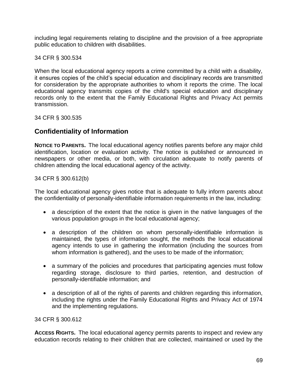including legal requirements relating to discipline and the provision of a free appropriate public education to children with disabilities.

34 CFR § 300.534

When the local educational agency reports a crime committed by a child with a disability, it ensures copies of the child's special education and disciplinary records are transmitted for consideration by the appropriate authorities to whom it reports the crime. The local educational agency transmits copies of the child's special education and disciplinary records only to the extent that the Family Educational Rights and Privacy Act permits transmission.

34 CFR § 300.535

## **Confidentiality of Information**

**NOTICE TO PARENTS.** The local educational agency notifies parents before any major child identification, location or evaluation activity. The notice is published or announced in newspapers or other media, or both, with circulation adequate to notify parents of children attending the local educational agency of the activity.

34 CFR § 300.612(b)

The local educational agency gives notice that is adequate to fully inform parents about the confidentiality of personally-identifiable information requirements in the law, including:

- a description of the extent that the notice is given in the native languages of the various population groups in the local educational agency;
- a description of the children on whom personally-identifiable information is maintained, the types of information sought, the methods the local educational agency intends to use in gathering the information (including the sources from whom information is gathered), and the uses to be made of the information;
- a summary of the policies and procedures that participating agencies must follow regarding storage, disclosure to third parties, retention, and destruction of personally-identifiable information; and
- a description of all of the rights of parents and children regarding this information, including the rights under the Family Educational Rights and Privacy Act of 1974 and the implementing regulations.

34 CFR § 300.612

**ACCESS RIGHTS.** The local educational agency permits parents to inspect and review any education records relating to their children that are collected, maintained or used by the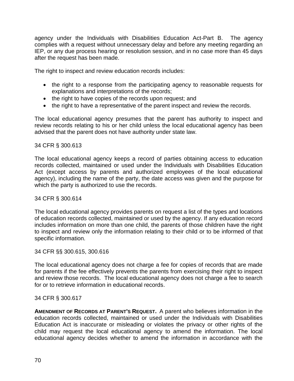agency under the Individuals with Disabilities Education Act-Part B. The agency complies with a request without unnecessary delay and before any meeting regarding an IEP, or any due process hearing or resolution session, and in no case more than 45 days after the request has been made.

The right to inspect and review education records includes:

- the right to a response from the participating agency to reasonable requests for explanations and interpretations of the records;
- the right to have copies of the records upon request; and
- the right to have a representative of the parent inspect and review the records.

The local educational agency presumes that the parent has authority to inspect and review records relating to his or her child unless the local educational agency has been advised that the parent does not have authority under state law.

#### 34 CFR § 300.613

The local educational agency keeps a record of parties obtaining access to education records collected, maintained or used under the Individuals with Disabilities Education Act (except access by parents and authorized employees of the local educational agency), including the name of the party, the date access was given and the purpose for which the party is authorized to use the records.

#### 34 CFR § 300.614

The local educational agency provides parents on request a list of the types and locations of education records collected, maintained or used by the agency. If any education record includes information on more than one child, the parents of those children have the right to inspect and review only the information relating to their child or to be informed of that specific information.

#### 34 CFR §§ 300.615, 300.616

The local educational agency does not charge a fee for copies of records that are made for parents if the fee effectively prevents the parents from exercising their right to inspect and review those records. The local educational agency does not charge a fee to search for or to retrieve information in educational records.

#### 34 CFR § 300.617

**AMENDMENT OF RECORDS AT PARENT'S REQUEST.** A parent who believes information in the education records collected, maintained or used under the Individuals with Disabilities Education Act is inaccurate or misleading or violates the privacy or other rights of the child may request the local educational agency to amend the information. The local educational agency decides whether to amend the information in accordance with the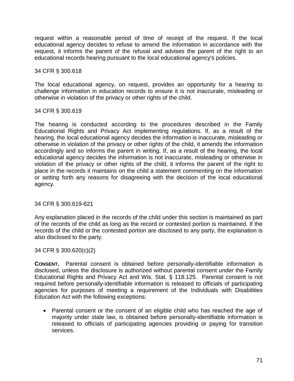request within a reasonable period of time of receipt of the request. If the local educational agency decides to refuse to amend the information in accordance with the request, it informs the parent of the refusal and advises the parent of the right to an educational records hearing pursuant to the local educational agency's policies.

### 34 CFR § 300.618

The local educational agency, on request, provides an opportunity for a hearing to challenge information in education records to ensure it is not inaccurate, misleading or otherwise in violation of the privacy or other rights of the child.

## 34 CFR § 300.619

The hearing is conducted according to the procedures described in the Family Educational Rights and Privacy Act implementing regulations. If, as a result of the hearing, the local educational agency decides the information is inaccurate, misleading or otherwise in violation of the privacy or other rights of the child, it amends the information accordingly and so informs the parent in writing. If, as a result of the hearing, the local educational agency decides the information is not inaccurate, misleading or otherwise in violation of the privacy or other rights of the child, it informs the parent of the right to place in the records it maintains on the child a statement commenting on the information or setting forth any reasons for disagreeing with the decision of the local educational agency.

### 34 CFR § 300.619-621

Any explanation placed in the records of the child under this section is maintained as part of the records of the child as long as the record or contested portion is maintained. If the records of the child or the contested portion are disclosed to any party, the explanation is also disclosed to the party.

### 34 CFR § 300.620(c)(2)

**CONSENT.** Parental consent is obtained before personally-identifiable information is disclosed, unless the disclosure is authorized without parental consent under the Family Educational Rights and Privacy Act and Wis. Stat. § 118.125. Parental consent is not required before personally-identifiable information is released to officials of participating agencies for purposes of meeting a requirement of the Individuals with Disabilities Education Act with the following exceptions:

 Parental consent or the consent of an eligible child who has reached the age of majority under state law, is obtained before personally-identifiable information is released to officials of participating agencies providing or paying for transition services.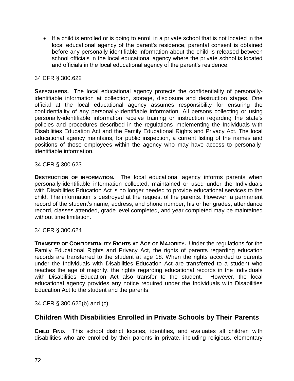If a child is enrolled or is going to enroll in a private school that is not located in the local educational agency of the parent's residence, parental consent is obtained before any personally-identifiable information about the child is released between school officials in the local educational agency where the private school is located and officials in the local educational agency of the parent's residence.

### 34 CFR § 300.622

**SAFEGUARDS.** The local educational agency protects the confidentiality of personallyidentifiable information at collection, storage, disclosure and destruction stages. One official at the local educational agency assumes responsibility for ensuring the confidentiality of any personally-identifiable information. All persons collecting or using personally-identifiable information receive training or instruction regarding the state's policies and procedures described in the regulations implementing the Individuals with Disabilities Education Act and the Family Educational Rights and Privacy Act. The local educational agency maintains, for public inspection, a current listing of the names and positions of those employees within the agency who may have access to personallyidentifiable information.

### 34 CFR § 300.623

**DESTRUCTION OF INFORMATION.** The local educational agency informs parents when personally-identifiable information collected, maintained or used under the Individuals with Disabilities Education Act is no longer needed to provide educational services to the child. The information is destroyed at the request of the parents. However, a permanent record of the student's name, address, and phone number, his or her grades, attendance record, classes attended, grade level completed, and year completed may be maintained without time limitation.

### 34 CFR § 300.624

**TRANSFER OF CONFIDENTIALITY RIGHTS AT AGE OF MAJORITY.** Under the regulations for the Family Educational Rights and Privacy Act, the rights of parents regarding education records are transferred to the student at age 18. When the rights accorded to parents under the Individuals with Disabilities Education Act are transferred to a student who reaches the age of majority, the rights regarding educational records in the Individuals with Disabilities Education Act also transfer to the student. However, the local educational agency provides any notice required under the Individuals with Disabilities Education Act to the student and the parents.

34 CFR § 300.625(b) and (c)

# **Children With Disabilities Enrolled in Private Schools by Their Parents**

**CHILD FIND.** This school district locates, identifies, and evaluates all children with disabilities who are enrolled by their parents in private, including religious, elementary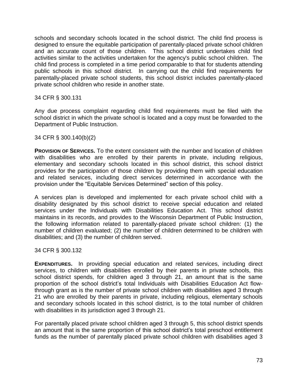schools and secondary schools located in the school district. The child find process is designed to ensure the equitable participation of parentally-placed private school children and an accurate count of those children. This school district undertakes child find activities similar to the activities undertaken for the agency's public school children. The child find process is completed in a time period comparable to that for students attending public schools in this school district. In carrying out the child find requirements for parentally-placed private school students, this school district includes parentally-placed private school children who reside in another state.

34 CFR § 300.131

Any due process complaint regarding child find requirements must be filed with the school district in which the private school is located and a copy must be forwarded to the Department of Public Instruction.

34 CFR § 300.140(b)(2)

**PROVISION OF SERVICES.** To the extent consistent with the number and location of children with disabilities who are enrolled by their parents in private, including religious, elementary and secondary schools located in this school district, this school district provides for the participation of those children by providing them with special education and related services, including direct services determined in accordance with the provision under the "Equitable Services Determined" section of this policy.

A services plan is developed and implemented for each private school child with a disability designated by this school district to receive special education and related services under the Individuals with Disabilities Education Act. This school district maintains in its records, and provides to the Wisconsin Department of Public Instruction, the following information related to parentally-placed private school children: (1) the number of children evaluated; (2) the number of children determined to be children with disabilities; and (3) the number of children served.

34 CFR § 300.132

**EXPENDITURES.** In providing special education and related services, including direct services, to children with disabilities enrolled by their parents in private schools, this school district spends, for children aged 3 through 21, an amount that is the same proportion of the school district's total Individuals with Disabilities Education Act flowthrough grant as is the number of private school children with disabilities aged 3 through 21 who are enrolled by their parents in private, including religious, elementary schools and secondary schools located in this school district, is to the total number of children with disabilities in its jurisdiction aged 3 through 21.

For parentally placed private school children aged 3 through 5, this school district spends an amount that is the same proportion of this school district's total preschool entitlement funds as the number of parentally placed private school children with disabilities aged 3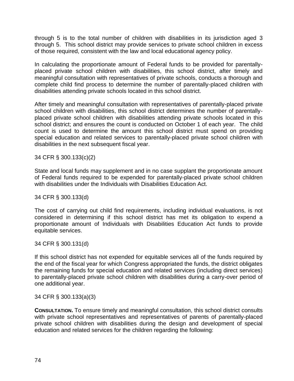through 5 is to the total number of children with disabilities in its jurisdiction aged 3 through 5. This school district may provide services to private school children in excess of those required, consistent with the law and local educational agency policy.

In calculating the proportionate amount of Federal funds to be provided for parentallyplaced private school children with disabilities, this school district, after timely and meaningful consultation with representatives of private schools, conducts a thorough and complete child find process to determine the number of parentally-placed children with disabilities attending private schools located in this school district.

After timely and meaningful consultation with representatives of parentally-placed private school children with disabilities, this school district determines the number of parentallyplaced private school children with disabilities attending private schools located in this school district; and ensures the count is conducted on October 1 of each year. The child count is used to determine the amount this school district must spend on providing special education and related services to parentally-placed private school children with disabilities in the next subsequent fiscal year.

34 CFR § 300.133(c)(2)

State and local funds may supplement and in no case supplant the proportionate amount of Federal funds required to be expended for parentally-placed private school children with disabilities under the Individuals with Disabilities Education Act.

34 CFR § 300.133(d)

The cost of carrying out child find requirements, including individual evaluations, is not considered in determining if this school district has met its obligation to expend a proportionate amount of Individuals with Disabilities Education Act funds to provide equitable services.

34 CFR § 300.131(d)

If this school district has not expended for equitable services all of the funds required by the end of the fiscal year for which Congress appropriated the funds, the district obligates the remaining funds for special education and related services (including direct services) to parentally-placed private school children with disabilities during a carry-over period of one additional year.

34 CFR § 300.133(a)(3)

**CONSULTATION.** To ensure timely and meaningful consultation, this school district consults with private school representatives and representatives of parents of parentally-placed private school children with disabilities during the design and development of special education and related services for the children regarding the following: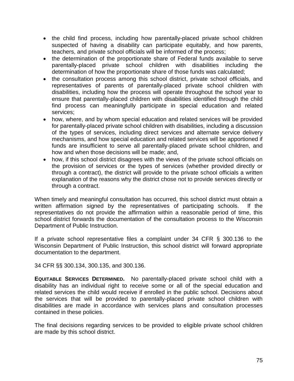- the child find process, including how parentally-placed private school children suspected of having a disability can participate equitably, and how parents, teachers, and private school officials will be informed of the process;
- the determination of the proportionate share of Federal funds available to serve parentally-placed private school children with disabilities including the determination of how the proportionate share of those funds was calculated;
- the consultation process among this school district, private school officials, and representatives of parents of parentally-placed private school children with disabilities, including how the process will operate throughout the school year to ensure that parentally-placed children with disabilities identified through the child find process can meaningfully participate in special education and related services;
- how, where, and by whom special education and related services will be provided for parentally-placed private school children with disabilities, including a discussion of the types of services, including direct services and alternate service delivery mechanisms, and how special education and related services will be apportioned if funds are insufficient to serve all parentally-placed private school children, and how and when those decisions will be made; and,
- how, if this school district disagrees with the views of the private school officials on the provision of services or the types of services (whether provided directly or through a contract), the district will provide to the private school officials a written explanation of the reasons why the district chose not to provide services directly or through a contract.

When timely and meaningful consultation has occurred, this school district must obtain a written affirmation signed by the representatives of participating schools. If the representatives do not provide the affirmation within a reasonable period of time, this school district forwards the documentation of the consultation process to the Wisconsin Department of Public Instruction.

If a private school representative files a complaint under 34 CFR § 300.136 to the Wisconsin Department of Public Instruction, this school district will forward appropriate documentation to the department.

34 CFR §§ 300.134, 300.135, and 300.136.

**EQUITABLE SERVICES DETERMINED.** No parentally-placed private school child with a disability has an individual right to receive some or all of the special education and related services the child would receive if enrolled in the public school. Decisions about the services that will be provided to parentally-placed private school children with disabilities are made in accordance with services plans and consultation processes contained in these policies.

The final decisions regarding services to be provided to eligible private school children are made by this school district.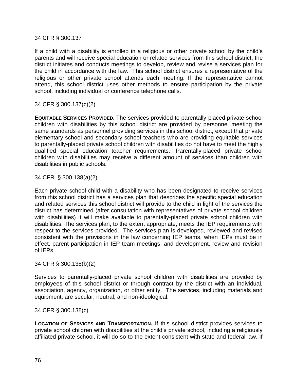34 CFR § 300.137

If a child with a disability is enrolled in a religious or other private school by the child's parents and will receive special education or related services from this school district, the district initiates and conducts meetings to develop, review and revise a services plan for the child in accordance with the law. This school district ensures a representative of the religious or other private school attends each meeting. If the representative cannot attend, this school district uses other methods to ensure participation by the private school, including individual or conference telephone calls.

34 CFR § 300.137(c)(2)

**EQUITABLE SERVICES PROVIDED.** The services provided to parentally-placed private school children with disabilities by this school district are provided by personnel meeting the same standards as personnel providing services in this school district, except that private elementary school and secondary school teachers who are providing equitable services to parentally-placed private school children with disabilities do not have to meet the highly qualified special education teacher requirements. Parentally-placed private school children with disabilities may receive a different amount of services than children with disabilities in public schools.

34 CFR § 300.138(a)(2)

Each private school child with a disability who has been designated to receive services from this school district has a services plan that describes the specific special education and related services this school district will provide to the child in light of the services the district has determined (after consultation with representatives of private school children with disabilities) it will make available to parentally-placed private school children with disabilities. The services plan, to the extent appropriate, meets the IEP requirements with respect to the services provided. The services plan is developed, reviewed and revised consistent with the provisions in the law concerning IEP teams, when IEPs must be in effect, parent participation in IEP team meetings, and development, review and revision of IEPs.

34 CFR § 300.138(b)(2)

Services to parentally-placed private school children with disabilities are provided by employees of this school district or through contract by the district with an individual, association, agency, organization, or other entity. The services, including materials and equipment, are secular, neutral, and non-ideological.

34 CFR § 300.138(c)

**LOCATION OF SERVICES AND TRANSPORTATION.** If this school district provides services to private school children with disabilities at the child's private school, including a religiously affiliated private school, it will do so to the extent consistent with state and federal law. If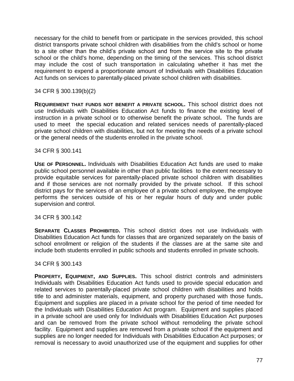necessary for the child to benefit from or participate in the services provided, this school district transports private school children with disabilities from the child's school or home to a site other than the child's private school and from the service site to the private school or the child's home, depending on the timing of the services. This school district may include the cost of such transportation in calculating whether it has met the requirement to expend a proportionate amount of Individuals with Disabilities Education Act funds on services to parentally-placed private school children with disabilities.

34 CFR § 300.139(b)(2)

**REQUIREMENT THAT FUNDS NOT BENEFIT A PRIVATE SCHOOL.** This school district does not use Individuals with Disabilities Education Act funds to finance the existing level of instruction in a private school or to otherwise benefit the private school**.** The funds are used to meet the special education and related services needs of parentally-placed private school children with disabilities, but not for meeting the needs of a private school or the general needs of the students enrolled in the private school.

### 34 CFR § 300.141

**USE OF PERSONNEL.** Individuals with Disabilities Education Act funds are used to make public school personnel available in other than public facilities to the extent necessary to provide equitable services for parentally-placed private school children with disabilities and if those services are not normally provided by the private school. If this school district pays for the services of an employee of a private school employee, the employee performs the services outside of his or her regular hours of duty and under public supervision and control.

### 34 CFR § 300.142

**SEPARATE CLASSES PROHIBITED.** This school district does not use Individuals with Disabilities Education Act funds for classes that are organized separately on the basis of school enrollment or religion of the students if the classes are at the same site and include both students enrolled in public schools and students enrolled in private schools.

### 34 CFR § 300.143

**PROPERTY, EQUIPMENT, AND SUPPLIES.** This school district controls and administers Individuals with Disabilities Education Act funds used to provide special education and related services to parentally-placed private school children with disabilities and holds title to and administer materials, equipment, and property purchased with those funds**.**  Equipment and supplies are placed in a private school for the period of time needed for the Individuals with Disabilities Education Act program. Equipment and supplies placed in a private school are used only for Individuals with Disabilities Education Act purposes and can be removed from the private school without remodeling the private school facility.Equipment and supplies are removed from a private school if the equipment and supplies are no longer needed for Individuals with Disabilities Education Act purposes; or removal is necessary to avoid unauthorized use of the equipment and supplies for other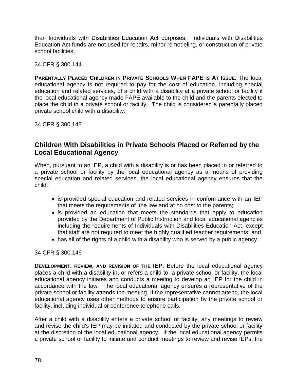than Individuals with Disabilities Education Act purposes.Individuals with Disabilities Education Act funds are not used for repairs, minor remodeling, or construction of private school facilities.

34 CFR § 300.144

**PARENTALLY PLACED CHILDREN IN PRIVATE SCHOOLS WHEN FAPE IS AT ISSUE.** The local educational agency is not required to pay for the cost of education, including special education and related services, of a child with a disability at a private school or facility if the local educational agency made FAPE available to the child and the parents elected to place the child in a private school or facility. The child is considered a parentally placed private school child with a disability.

34 CFR § 300.148

# **Children With Disabilities in Private Schools Placed or Referred by the Local Educational Agency**

When, pursuant to an IEP, a child with a disability is or has been placed in or referred to a private school or facility by the local educational agency as a means of providing special education and related services, the local educational agency ensures that the child:

- is provided special education and related services in conformance with an IEP that meets the requirements of the law and at no cost to the parents;
- is provided an education that meets the standards that apply to education provided by the Department of Public Instruction and local educational agencies including the requirements of Individuals with Disabilities Education Act, except that staff are not required to meet the highly qualified teacher requirements; and
- has all of the rights of a child with a disability who is served by a public agency.

34 CFR § 300.146

**DEVELOPMENT, REVIEW, AND REVISION OF THE IEP.** Before the local educational agency places a child with a disability in, or refers a child to, a private school or facility, the local educational agency initiates and conducts a meeting to develop an IEP for the child in accordance with the law. The local educational agency ensures a representative of the private school or facility attends the meeting. If the representative cannot attend, the local educational agency uses other methods to ensure participation by the private school or facility, including individual or conference telephone calls.

After a child with a disability enters a private school or facility, any meetings to review and revise the child's IEP may be initiated and conducted by the private school or facility at the discretion of the local educational agency. If the local educational agency permits a private school or facility to initiate and conduct meetings to review and revise IEPs, the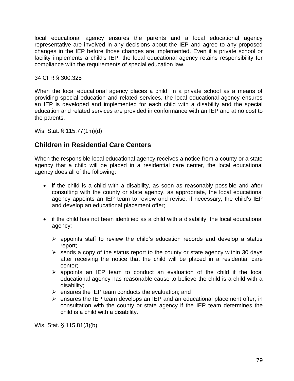local educational agency ensures the parents and a local educational agency representative are involved in any decisions about the IEP and agree to any proposed changes in the IEP before those changes are implemented. Even if a private school or facility implements a child's IEP, the local educational agency retains responsibility for compliance with the requirements of special education law.

34 CFR § 300.325

When the local educational agency places a child, in a private school as a means of providing special education and related services, the local educational agency ensures an IEP is developed and implemented for each child with a disability and the special education and related services are provided in conformance with an IEP and at no cost to the parents.

Wis. Stat. § 115.77(1m)(d)

# **Children in Residential Care Centers**

When the responsible local educational agency receives a notice from a county or a state agency that a child will be placed in a residential care center, the local educational agency does all of the following:

- if the child is a child with a disability, as soon as reasonably possible and after consulting with the county or state agency, as appropriate, the local educational agency appoints an IEP team to review and revise, if necessary, the child's IEP and develop an educational placement offer;
- if the child has not been identified as a child with a disability, the local educational agency:
	- $\triangleright$  appoints staff to review the child's education records and develop a status report;
	- $\triangleright$  sends a copy of the status report to the county or state agency within 30 days after receiving the notice that the child will be placed in a residential care center;
	- $\triangleright$  appoints an IEP team to conduct an evaluation of the child if the local educational agency has reasonable cause to believe the child is a child with a disability;
	- $\triangleright$  ensures the IEP team conducts the evaluation; and
	- $\triangleright$  ensures the IEP team develops an IEP and an educational placement offer, in consultation with the county or state agency if the IEP team determines the child is a child with a disability.

Wis. Stat. § 115.81(3)(b)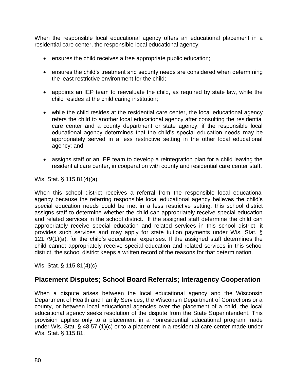When the responsible local educational agency offers an educational placement in a residential care center, the responsible local educational agency:

- ensures the child receives a free appropriate public education;
- ensures the child's treatment and security needs are considered when determining the least restrictive environment for the child;
- appoints an IEP team to reevaluate the child, as required by state law, while the child resides at the child caring institution;
- while the child resides at the residential care center, the local educational agency refers the child to another local educational agency after consulting the residential care center and a county department or state agency, if the responsible local educational agency determines that the child's special education needs may be appropriately served in a less restrictive setting in the other local educational agency; and
- assigns staff or an IEP team to develop a reintegration plan for a child leaving the residential care center, in cooperation with county and residential care center staff.

Wis. Stat. § 115.81(4)(a)

When this school district receives a referral from the responsible local educational agency because the referring responsible local educational agency believes the child's special education needs could be met in a less restrictive setting, this school district assigns staff to determine whether the child can appropriately receive special education and related services in the school district. If the assigned staff determine the child can appropriately receive special education and related services in this school district, it provides such services and may apply for state tuition payments under Wis. Stat. § 121.79(1)(a), for the child's educational expenses. If the assigned staff determines the child cannot appropriately receive special education and related services in this school district, the school district keeps a written record of the reasons for that determination.

Wis. Stat. § 115.81(4)(c)

# **Placement Disputes; School Board Referrals; Interagency Cooperation**

When a dispute arises between the local educational agency and the Wisconsin Department of Health and Family Services, the Wisconsin Department of Corrections or a county, or between local educational agencies over the placement of a child, the local educational agency seeks resolution of the dispute from the State Superintendent. This provision applies only to a placement in a nonresidential educational program made under Wis. Stat. § 48.57 (1)(c) or to a placement in a residential care center made under Wis. Stat. § 115.81.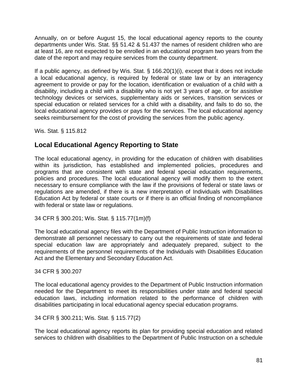Annually, on or before August 15, the local educational agency reports to the county departments under Wis. Stat. §§ 51.42 & 51.437 the names of resident children who are at least 16, are not expected to be enrolled in an educational program two years from the date of the report and may require services from the county department.

If a public agency, as defined by Wis. Stat. § 166.20(1)(i), except that it does not include a local educational agency, is required by federal or state law or by an interagency agreement to provide or pay for the location, identification or evaluation of a child with a disability, including a child with a disability who is not yet 3 years of age, or for assistive technology devices or services, supplementary aids or services, transition services or special education or related services for a child with a disability, and fails to do so, the local educational agency provides or pays for the services. The local educational agency seeks reimbursement for the cost of providing the services from the public agency.

Wis. Stat. § 115.812

# **Local Educational Agency Reporting to State**

The local educational agency, in providing for the education of children with disabilities within its jurisdiction, has established and implemented policies, procedures and programs that are consistent with state and federal special education requirements, policies and procedures. The local educational agency will modify them to the extent necessary to ensure compliance with the law if the provisions of federal or state laws or regulations are amended, if there is a new interpretation of Individuals with Disabilities Education Act by federal or state courts or if there is an official finding of noncompliance with federal or state law or regulations.

34 CFR § 300.201; Wis. Stat. § 115.77(1m)(f)

The local educational agency files with the Department of Public Instruction information to demonstrate all personnel necessary to carry out the requirements of state and federal special education law are appropriately and adequately prepared, subject to the requirements of the personnel requirements of the Individuals with Disabilities Education Act and the Elementary and Secondary Education Act.

### 34 CFR § 300.207

The local educational agency provides to the Department of Public Instruction information needed for the Department to meet its responsibilities under state and federal special education laws, including information related to the performance of children with disabilities participating in local educational agency special education programs.

34 CFR § 300.211; Wis. Stat. § 115.77(2)

The local educational agency reports its plan for providing special education and related services to children with disabilities to the Department of Public Instruction on a schedule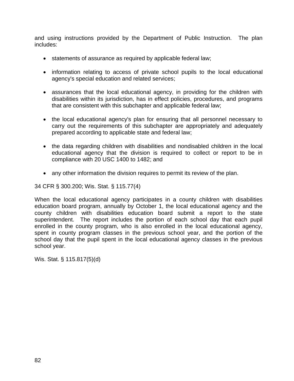and using instructions provided by the Department of Public Instruction. The plan includes:

- statements of assurance as required by applicable federal law;
- information relating to access of private school pupils to the local educational agency's special education and related services;
- assurances that the local educational agency, in providing for the children with disabilities within its jurisdiction, has in effect policies, procedures, and programs that are consistent with this subchapter and applicable federal law;
- the local educational agency's plan for ensuring that all personnel necessary to carry out the requirements of this subchapter are appropriately and adequately prepared according to applicable state and federal law;
- the data regarding children with disabilities and nondisabled children in the local educational agency that the division is required to collect or report to be in compliance with 20 USC 1400 to 1482; and
- any other information the division requires to permit its review of the plan.

34 CFR § 300.200; Wis. Stat. § 115.77(4)

When the local educational agency participates in a county children with disabilities education board program, annually by October 1, the local educational agency and the county children with disabilities education board submit a report to the state superintendent. The report includes the portion of each school day that each pupil enrolled in the county program, who is also enrolled in the local educational agency, spent in county program classes in the previous school year, and the portion of the school day that the pupil spent in the local educational agency classes in the previous school year.

Wis. Stat. § 115.817(5)(d)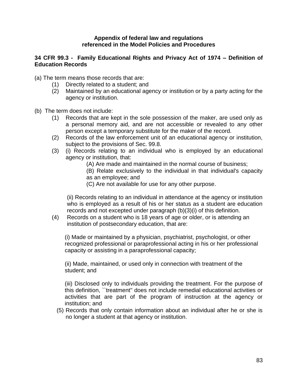#### **Appendix of federal law and regulations referenced in the Model Policies and Procedures**

### **34 CFR 99.3 - Family Educational Rights and Privacy Act of 1974 – Definition of Education Records**

- (a) The term means those records that are:
	- (1) Directly related to a student; and
	- (2) Maintained by an educational agency or institution or by a party acting for the agency or institution.
- (b) The term does not include:
	- (1) Records that are kept in the sole possession of the maker, are used only as a personal memory aid, and are not accessible or revealed to any other person except a temporary substitute for the maker of the record.
	- (2) Records of the law enforcement unit of an educational agency or institution, subject to the provisions of Sec. 99.8.
	- (3) (i) Records relating to an individual who is employed by an educational agency or institution, that:
		- (A) Are made and maintained in the normal course of business;

 (B) Relate exclusively to the individual in that individual's capacity as an employee; and

(C) Are not available for use for any other purpose.

 (ii) Records relating to an individual in attendance at the agency or institution who is employed as a result of his or her status as a student are education records and not excepted under paragraph (b)(3)(i) of this definition.

(4) Records on a student who is 18 years of age or older, or is attending an institution of postsecondary education, that are:

 (i) Made or maintained by a physician, psychiatrist, psychologist, or other recognized professional or paraprofessional acting in his or her professional capacity or assisting in a paraprofessional capacity;

 (ii) Made, maintained, or used only in connection with treatment of the student; and

 (iii) Disclosed only to individuals providing the treatment. For the purpose of this definition, ``treatment'' does not include remedial educational activities or activities that are part of the program of instruction at the agency or institution; and

 (5) Records that only contain information about an individual after he or she is no longer a student at that agency or institution.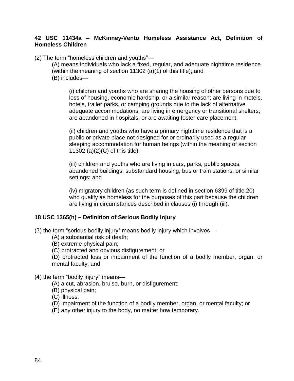### **42 USC 11434a – McKinney-Vento Homeless Assistance Act, Definition of Homeless Children**

(2) The term "homeless children and youths"—

(A) means individuals who lack a fixed, regular, and adequate nighttime residence (within the meaning of section 11302 (a)(1) of this title); and (B) includes—

(i) children and youths who are sharing the housing of other persons due to loss of housing, economic hardship, or a similar reason; are living in motels, hotels, trailer parks, or camping grounds due to the lack of alternative adequate accommodations; are living in emergency or transitional shelters; are abandoned in hospitals; or are awaiting foster care placement;

(ii) children and youths who have a primary nighttime residence that is a public or private place not designed for or ordinarily used as a regular sleeping accommodation for human beings (within the meaning of section 11302 (a)(2)(C) of this title);

(iii) children and youths who are living in cars, parks, public spaces, abandoned buildings, substandard housing, bus or train stations, or similar settings; and

(iv) migratory children (as such term is defined in section 6399 of title 20) who qualify as homeless for the purposes of this part because the children are living in circumstances described in clauses (i) through (iii).

## **18 USC 1365(h) – Definition of Serious Bodily Injury**

(3) the term "serious bodily injury" means bodily injury which involves—

(A) a substantial risk of death;

(B) extreme physical pain;

(C) protracted and obvious disfigurement; or

(D) protracted loss or impairment of the function of a bodily member, organ, or mental faculty; and

(4) the term "bodily injury" means—

(A) a cut, abrasion, bruise, burn, or disfigurement;

(B) physical pain;

(C) illness;

(D) impairment of the function of a bodily member, organ, or mental faculty; or

(E) any other injury to the body, no matter how temporary.